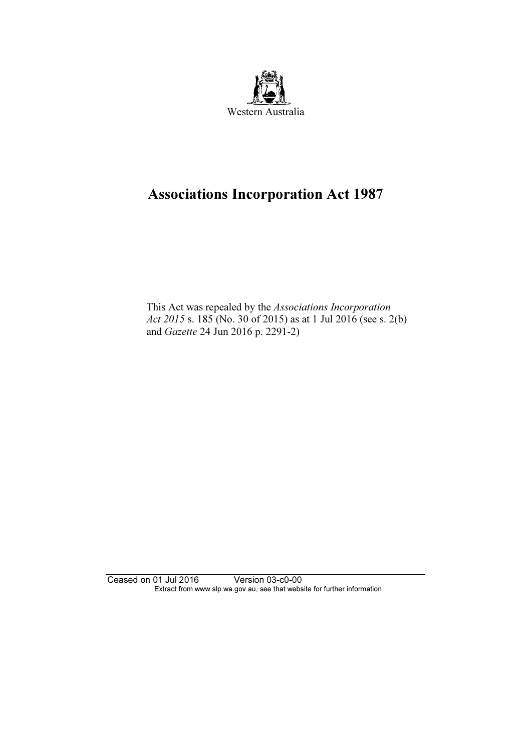

# Associations Incorporation Act 1987

 This Act was repealed by the Associations Incorporation Act 2015 s. 185 (No. 30 of 2015) as at 1 Jul 2016 (see s. 2(b) and Gazette 24 Jun 2016 p. 2291-2)

Ceased on 01 Jul 2016 Version 03-c0-00 Extract from www.slp.wa.gov.au, see that website for further information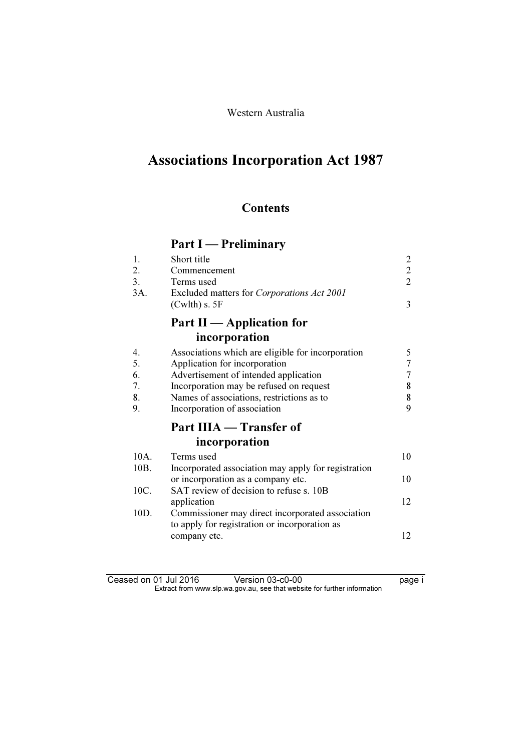## Western Australia

# Associations Incorporation Act 1987

# **Contents**

# Part I — Preliminary

| 1.   | Short title                                         | 2              |
|------|-----------------------------------------------------|----------------|
| 2.   | Commencement                                        | $\overline{2}$ |
| 3.   | Terms used                                          | $\overline{2}$ |
| 3A.  | Excluded matters for Corporations Act 2001          |                |
|      | (Cwlth) s. 5F                                       | 3              |
|      | Part II — Application for                           |                |
|      | incorporation                                       |                |
| 4.   | Associations which are eligible for incorporation   | 5              |
| 5.   | Application for incorporation                       | 7              |
| 6.   | Advertisement of intended application               | $\overline{7}$ |
| 7.   | Incorporation may be refused on request             | 8              |
| 8.   | Names of associations, restrictions as to           | 8              |
| 9.   | Incorporation of association                        | 9              |
|      | Part IIIA — Transfer of                             |                |
|      | incorporation                                       |                |
| 10A. | Terms used                                          | 10             |
| 10B. | Incorporated association may apply for registration |                |
|      | or incorporation as a company etc.                  | 10             |
| 10C. | SAT review of decision to refuse s. 10B             |                |
|      | application                                         | 12             |
| 10D. | Commissioner may direct incorporated association    |                |
|      | to apply for registration or incorporation as       |                |
|      | company etc.                                        | 12             |

| Ceased on 01 Jul 2016 | Version 03-c0-00                                                         | page i |
|-----------------------|--------------------------------------------------------------------------|--------|
|                       | Extract from www.slp.wa.gov.au, see that website for further information |        |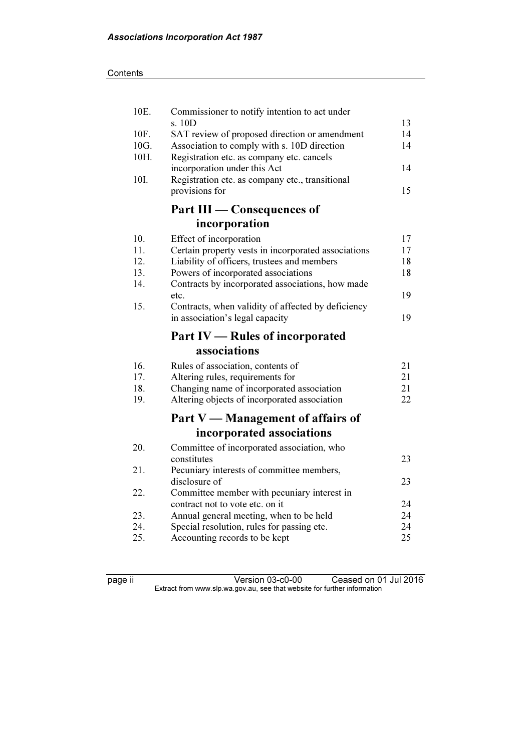| 10E. | Commissioner to notify intention to act under                                                |          |
|------|----------------------------------------------------------------------------------------------|----------|
| 10F. | s. 10D                                                                                       | 13<br>14 |
| 10G. | SAT review of proposed direction or amendment<br>Association to comply with s. 10D direction | 14       |
| 10H. | Registration etc. as company etc. cancels                                                    |          |
|      | incorporation under this Act                                                                 | 14       |
| 10I. | Registration etc. as company etc., transitional                                              |          |
|      | provisions for                                                                               | 15       |
|      | Part III - Consequences of                                                                   |          |
|      | incorporation                                                                                |          |
| 10.  | Effect of incorporation                                                                      | 17       |
| 11.  | Certain property vests in incorporated associations                                          | 17       |
| 12.  | Liability of officers, trustees and members                                                  | 18       |
| 13.  | Powers of incorporated associations                                                          | 18       |
| 14.  | Contracts by incorporated associations, how made                                             |          |
|      | etc.                                                                                         | 19       |
| 15.  | Contracts, when validity of affected by deficiency                                           | 19       |
|      | in association's legal capacity                                                              |          |
|      |                                                                                              |          |
|      | <b>Part IV — Rules of incorporated</b>                                                       |          |
|      | associations                                                                                 |          |
| 16.  | Rules of association, contents of                                                            | 21       |
| 17.  | Altering rules, requirements for                                                             | 21       |
| 18.  | Changing name of incorporated association                                                    | 21       |
| 19.  | Altering objects of incorporated association                                                 | 22       |
|      | Part V — Management of affairs of                                                            |          |
|      |                                                                                              |          |
|      | incorporated associations                                                                    |          |
| 20.  | Committee of incorporated association, who                                                   | 23       |
| 21.  | constitutes                                                                                  |          |
|      | Pecuniary interests of committee members,<br>disclosure of                                   | 23       |
| 22.  | Committee member with pecuniary interest in                                                  |          |
|      | contract not to vote etc. on it                                                              | 24       |
| 23.  | Annual general meeting, when to be held                                                      | 24       |
| 24.  | Special resolution, rules for passing etc.                                                   | 24       |
| 25.  | Accounting records to be kept                                                                | 25       |

page ii Version 03-c0-00 Ceased on 01 Jul 2016  $\mathbf{F}$  from which was the set that we besite for further information  $\mathbf{F}$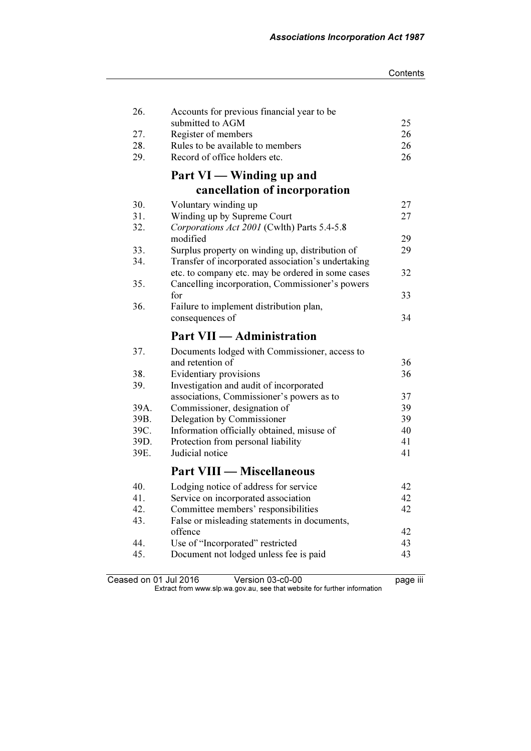| 26.  | Accounts for previous financial year to be                                                           |    |
|------|------------------------------------------------------------------------------------------------------|----|
|      | submitted to AGM                                                                                     | 25 |
| 27.  | Register of members                                                                                  | 26 |
| 28.  | Rules to be available to members                                                                     | 26 |
| 29.  | Record of office holders etc.                                                                        | 26 |
|      | Part VI — Winding up and                                                                             |    |
|      | cancellation of incorporation                                                                        |    |
| 30.  | Voluntary winding up                                                                                 | 27 |
| 31.  | Winding up by Supreme Court                                                                          | 27 |
| 32.  | Corporations Act 2001 (Cwlth) Parts 5.4-5.8<br>modified                                              | 29 |
| 33.  | Surplus property on winding up, distribution of                                                      | 29 |
| 34.  | Transfer of incorporated association's undertaking                                                   |    |
| 35.  | etc. to company etc. may be ordered in some cases<br>Cancelling incorporation, Commissioner's powers | 32 |
|      | for                                                                                                  | 33 |
| 36.  | Failure to implement distribution plan,                                                              |    |
|      | consequences of                                                                                      | 34 |
|      | <b>Part VII — Administration</b>                                                                     |    |
|      |                                                                                                      |    |
| 37.  | Documents lodged with Commissioner, access to                                                        |    |
|      | and retention of                                                                                     | 36 |
| 38.  | Evidentiary provisions                                                                               | 36 |
| 39.  | Investigation and audit of incorporated                                                              |    |
|      | associations, Commissioner's powers as to                                                            | 37 |
| 39A. | Commissioner, designation of                                                                         | 39 |
| 39B. | Delegation by Commissioner                                                                           | 39 |
| 39C. | Information officially obtained, misuse of                                                           | 40 |
| 39D. | Protection from personal liability                                                                   | 41 |
| 39E. | Judicial notice                                                                                      | 41 |
|      | <b>Part VIII — Miscellaneous</b>                                                                     |    |
| 40.  | Lodging notice of address for service                                                                | 42 |
| 41.  | Service on incorporated association                                                                  | 42 |
| 42.  | Committee members' responsibilities                                                                  | 42 |
| 43.  | False or misleading statements in documents,                                                         |    |
|      | offence                                                                                              | 42 |
| 44.  | Use of "Incorporated" restricted                                                                     | 43 |
| 45.  | Document not lodged unless fee is paid                                                               | 43 |
|      |                                                                                                      |    |

Ceased on 01 Jul 2016 Version 03-c0-00 page iii  $\mathbf{F}$  from which was the set that we besite for further information  $\mathbf{F}$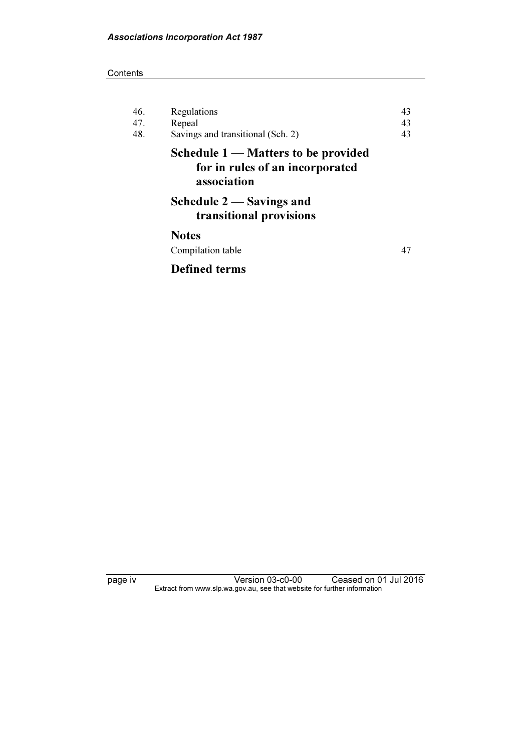#### **Contents**

| 46.<br>47. | Regulations<br>Repeal                                                                 | 43<br>43 |
|------------|---------------------------------------------------------------------------------------|----------|
| 48.        | Savings and transitional (Sch. 2)                                                     | 43       |
|            | Schedule 1 — Matters to be provided<br>for in rules of an incorporated<br>association |          |
|            | Schedule 2 — Savings and<br>transitional provisions                                   |          |
|            | <b>Notes</b>                                                                          |          |
|            | Compilation table                                                                     | 47       |
|            | <b>Defined terms</b>                                                                  |          |

page iv Version 03-c0-00 Ceased on 01 Jul 2016  $\mathbf{F}$  from which was the set that we besite for further information  $\mathbf{F}$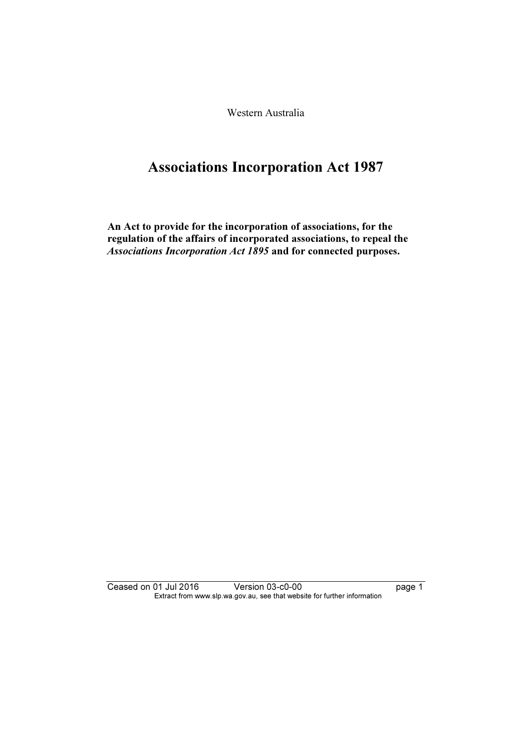Western Australia

# Associations Incorporation Act 1987

An Act to provide for the incorporation of associations, for the regulation of the affairs of incorporated associations, to repeal the Associations Incorporation Act 1895 and for connected purposes.

Ceased on 01 Jul 2016 Version 03-c0-00 page 1 Extract from www.slp.wa.gov.au, see that website for further information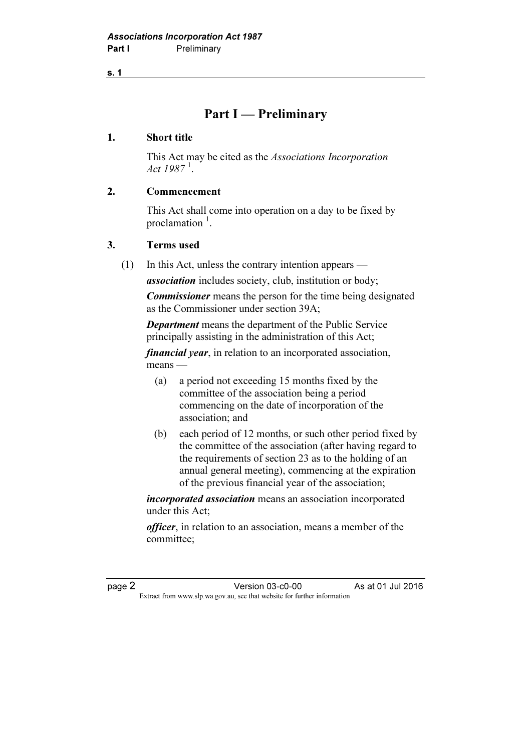# Part I — Preliminary

#### 1. Short title

 This Act may be cited as the Associations Incorporation Act  $1987^{\,1}$ .

#### 2. Commencement

 This Act shall come into operation on a day to be fixed by proclamation <sup>1</sup>.

#### 3. Terms used

(1) In this Act, unless the contrary intention appears —

association includes society, club, institution or body;

Commissioner means the person for the time being designated as the Commissioner under section 39A;

Department means the department of the Public Service principally assisting in the administration of this Act;

*financial year*, in relation to an incorporated association, means —

- (a) a period not exceeding 15 months fixed by the committee of the association being a period commencing on the date of incorporation of the association; and
- (b) each period of 12 months, or such other period fixed by the committee of the association (after having regard to the requirements of section 23 as to the holding of an annual general meeting), commencing at the expiration of the previous financial year of the association;

incorporated association means an association incorporated under this Act;

officer, in relation to an association, means a member of the committee;

page 2<br>Extract from www.slp.wa.gov.au, see that website for further information<br>Extract from www.slp.wa.gov.au, see that website for further information  $\mathbf{F}$  from which we be the website for further information for further information  $\mathbf{F}$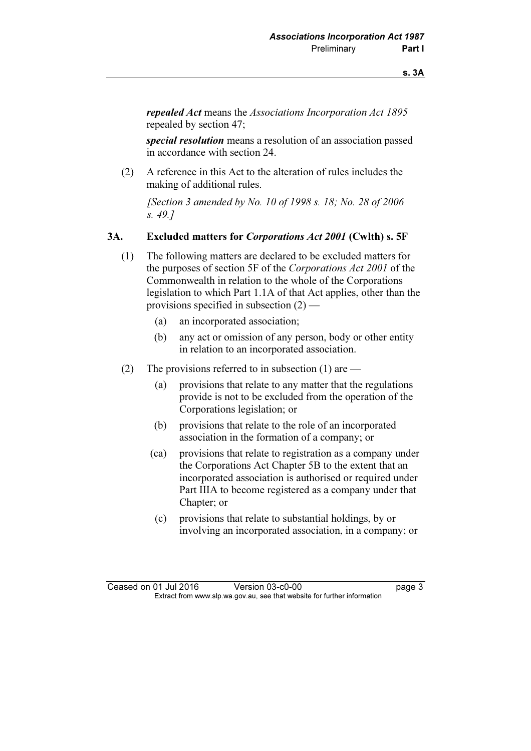repealed Act means the Associations Incorporation Act 1895 repealed by section 47;

special resolution means a resolution of an association passed in accordance with section 24.

 (2) A reference in this Act to the alteration of rules includes the making of additional rules.

 [Section 3 amended by No. 10 of 1998 s. 18; No. 28 of 2006 s. 49.]

#### 3A. Excluded matters for Corporations Act 2001 (Cwlth) s. 5F

- (1) The following matters are declared to be excluded matters for the purposes of section 5F of the Corporations Act 2001 of the Commonwealth in relation to the whole of the Corporations legislation to which Part 1.1A of that Act applies, other than the provisions specified in subsection  $(2)$  —
	- (a) an incorporated association;
	- (b) any act or omission of any person, body or other entity in relation to an incorporated association.
- (2) The provisions referred to in subsection (1) are  $-$ 
	- (a) provisions that relate to any matter that the regulations provide is not to be excluded from the operation of the Corporations legislation; or
	- (b) provisions that relate to the role of an incorporated association in the formation of a company; or
	- (ca) provisions that relate to registration as a company under the Corporations Act Chapter 5B to the extent that an incorporated association is authorised or required under Part IIIA to become registered as a company under that Chapter; or
	- (c) provisions that relate to substantial holdings, by or involving an incorporated association, in a company; or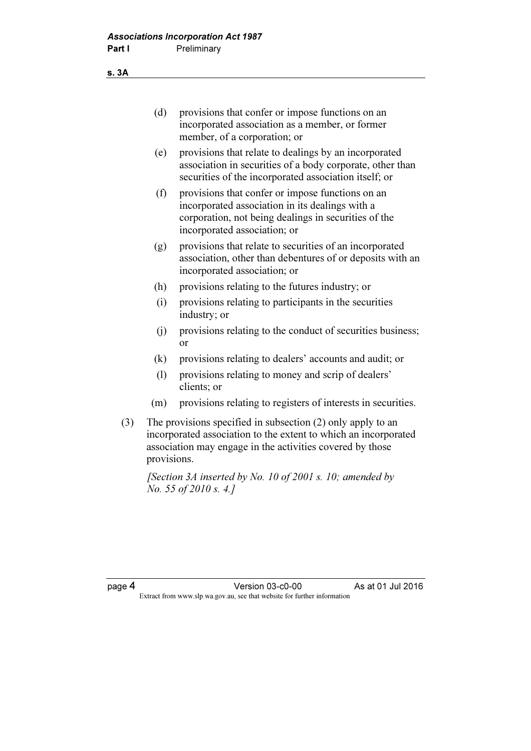s. 3A

| provisions that confer or impose functions on an |
|--------------------------------------------------|
| incorporated association as a member, or former  |
| member, of a corporation; or                     |

- (e) provisions that relate to dealings by an incorporated association in securities of a body corporate, other than securities of the incorporated association itself; or
- (f) provisions that confer or impose functions on an incorporated association in its dealings with a corporation, not being dealings in securities of the incorporated association; or
- (g) provisions that relate to securities of an incorporated association, other than debentures of or deposits with an incorporated association; or
- (h) provisions relating to the futures industry; or
- (i) provisions relating to participants in the securities industry; or
- (j) provisions relating to the conduct of securities business; or
- (k) provisions relating to dealers' accounts and audit; or
- (l) provisions relating to money and scrip of dealers' clients; or
- (m) provisions relating to registers of interests in securities.
- (3) The provisions specified in subsection (2) only apply to an incorporated association to the extent to which an incorporated association may engage in the activities covered by those provisions.

[Section 3A inserted by No. 10 of 2001 s. 10; amended by No. 55 of 2010 s. 4.]

page 4 Version 03-c0-00 As at 01 Jul 2016  $\mathbf{F}$  from which we be the website for further information for further information  $\mathbf{F}$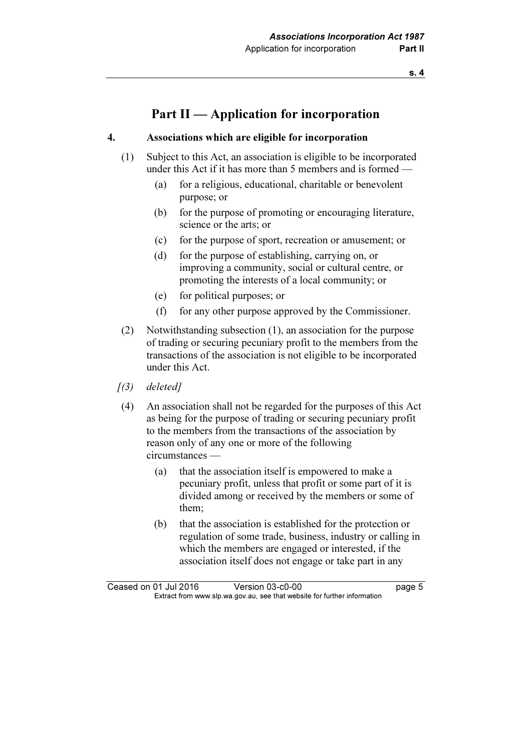# Part II — Application for incorporation

#### 4. Associations which are eligible for incorporation

- (1) Subject to this Act, an association is eligible to be incorporated under this Act if it has more than 5 members and is formed —
	- (a) for a religious, educational, charitable or benevolent purpose; or
	- (b) for the purpose of promoting or encouraging literature, science or the arts; or
	- (c) for the purpose of sport, recreation or amusement; or
	- (d) for the purpose of establishing, carrying on, or improving a community, social or cultural centre, or promoting the interests of a local community; or
	- (e) for political purposes; or
	- (f) for any other purpose approved by the Commissioner.
- (2) Notwithstanding subsection (1), an association for the purpose of trading or securing pecuniary profit to the members from the transactions of the association is not eligible to be incorporated under this Act.
- $(3)$  deleted]
- (4) An association shall not be regarded for the purposes of this Act as being for the purpose of trading or securing pecuniary profit to the members from the transactions of the association by reason only of any one or more of the following circumstances —
	- (a) that the association itself is empowered to make a pecuniary profit, unless that profit or some part of it is divided among or received by the members or some of them;
	- (b) that the association is established for the protection or regulation of some trade, business, industry or calling in which the members are engaged or interested, if the association itself does not engage or take part in any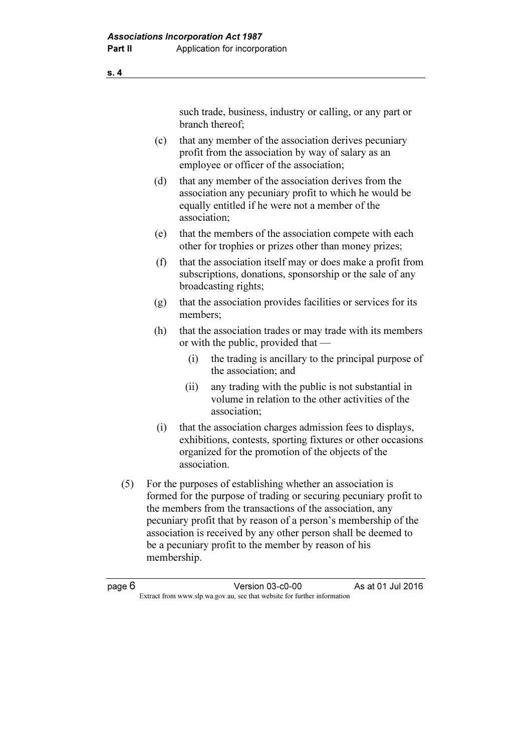such trade, business, industry or calling, or any part or branch thereof;

- (c) that any member of the association derives pecuniary profit from the association by way of salary as an employee or officer of the association;
- (d) that any member of the association derives from the association any pecuniary profit to which he would be equally entitled if he were not a member of the association;
- (e) that the members of the association compete with each other for trophies or prizes other than money prizes;
- (f) that the association itself may or does make a profit from subscriptions, donations, sponsorship or the sale of any broadcasting rights;
- (g) that the association provides facilities or services for its members;
- (h) that the association trades or may trade with its members or with the public, provided that —
	- (i) the trading is ancillary to the principal purpose of the association; and
	- (ii) any trading with the public is not substantial in volume in relation to the other activities of the association;
- (i) that the association charges admission fees to displays, exhibitions, contests, sporting fixtures or other occasions organized for the promotion of the objects of the association.
- (5) For the purposes of establishing whether an association is formed for the purpose of trading or securing pecuniary profit to the members from the transactions of the association, any pecuniary profit that by reason of a person's membership of the association is received by any other person shall be deemed to be a pecuniary profit to the member by reason of his membership.

s. 4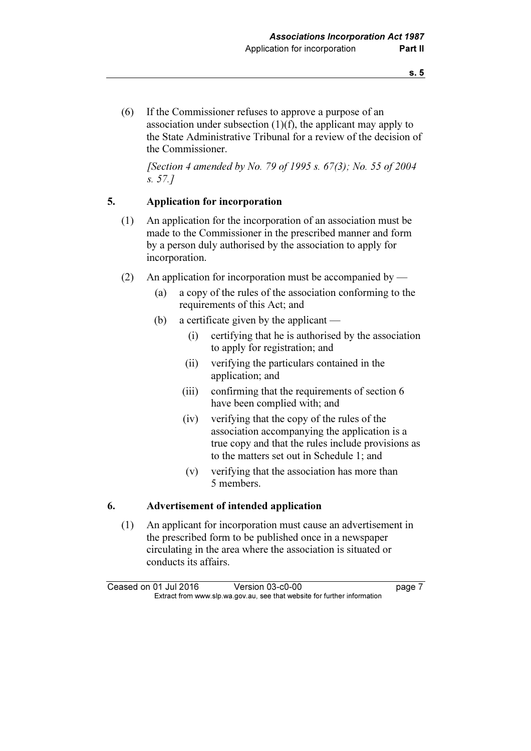(6) If the Commissioner refuses to approve a purpose of an association under subsection (1)(f), the applicant may apply to the State Administrative Tribunal for a review of the decision of the Commissioner.

[Section 4 amended by No. 79 of 1995 s.  $67(3)$ ; No. 55 of 2004 s. 57.]

### 5. Application for incorporation

- (1) An application for the incorporation of an association must be made to the Commissioner in the prescribed manner and form by a person duly authorised by the association to apply for incorporation.
- (2) An application for incorporation must be accompanied by
	- (a) a copy of the rules of the association conforming to the requirements of this Act; and
	- (b) a certificate given by the applicant
		- (i) certifying that he is authorised by the association to apply for registration; and
		- (ii) verifying the particulars contained in the application; and
		- (iii) confirming that the requirements of section 6 have been complied with; and
		- (iv) verifying that the copy of the rules of the association accompanying the application is a true copy and that the rules include provisions as to the matters set out in Schedule 1; and
		- (v) verifying that the association has more than 5 members.

### 6. Advertisement of intended application

 (1) An applicant for incorporation must cause an advertisement in the prescribed form to be published once in a newspaper circulating in the area where the association is situated or conducts its affairs.

Ceased on 01 Jul 2016 Version 03-c0-00 page 7<br>Extract from www.slp.wa.gov.au, see that website for further information  $\mathbf{F}$  from which was the set that we besite for further information  $\mathbf{F}$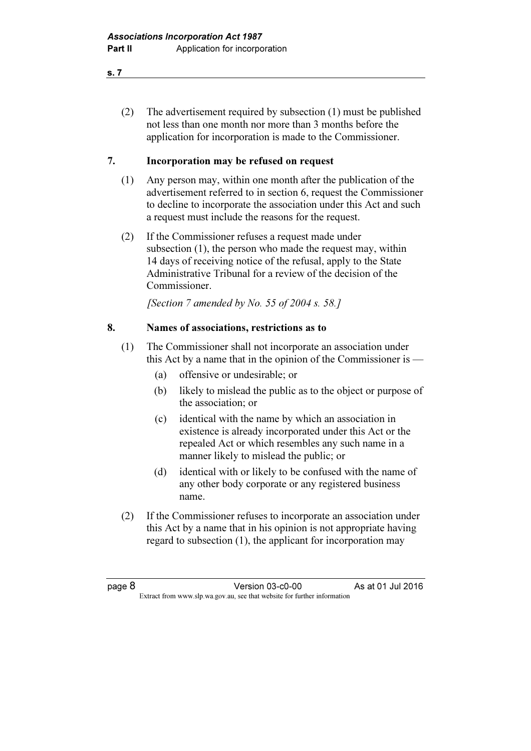- s. 7
	- (2) The advertisement required by subsection (1) must be published not less than one month nor more than 3 months before the application for incorporation is made to the Commissioner.

### 7. Incorporation may be refused on request

- (1) Any person may, within one month after the publication of the advertisement referred to in section 6, request the Commissioner to decline to incorporate the association under this Act and such a request must include the reasons for the request.
- (2) If the Commissioner refuses a request made under subsection (1), the person who made the request may, within 14 days of receiving notice of the refusal, apply to the State Administrative Tribunal for a review of the decision of the Commissioner.

[Section 7 amended by No. 55 of 2004 s. 58.]

### 8. Names of associations, restrictions as to

- (1) The Commissioner shall not incorporate an association under this Act by a name that in the opinion of the Commissioner is —
	- (a) offensive or undesirable; or
	- (b) likely to mislead the public as to the object or purpose of the association; or
	- (c) identical with the name by which an association in existence is already incorporated under this Act or the repealed Act or which resembles any such name in a manner likely to mislead the public; or
	- (d) identical with or likely to be confused with the name of any other body corporate or any registered business name.
- (2) If the Commissioner refuses to incorporate an association under this Act by a name that in his opinion is not appropriate having regard to subsection (1), the applicant for incorporation may

page 8 **Version 03-c0-00** As at 01 Jul 2016  $\mathbf{F}$  from which we be the website for further information for further information  $\mathbf{F}$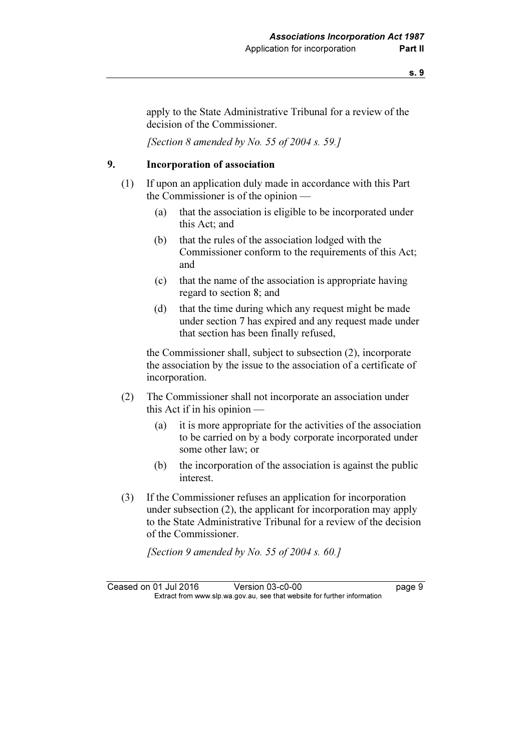apply to the State Administrative Tribunal for a review of the decision of the Commissioner.

[Section 8 amended by No. 55 of 2004 s. 59.]

### 9. Incorporation of association

- (1) If upon an application duly made in accordance with this Part the Commissioner is of the opinion —
	- (a) that the association is eligible to be incorporated under this Act; and
	- (b) that the rules of the association lodged with the Commissioner conform to the requirements of this Act; and
	- (c) that the name of the association is appropriate having regard to section 8; and
	- (d) that the time during which any request might be made under section 7 has expired and any request made under that section has been finally refused,

 the Commissioner shall, subject to subsection (2), incorporate the association by the issue to the association of a certificate of incorporation.

- (2) The Commissioner shall not incorporate an association under this Act if in his opinion —
	- (a) it is more appropriate for the activities of the association to be carried on by a body corporate incorporated under some other law; or
	- (b) the incorporation of the association is against the public interest.
- (3) If the Commissioner refuses an application for incorporation under subsection (2), the applicant for incorporation may apply to the State Administrative Tribunal for a review of the decision of the Commissioner.

[Section 9 amended by No. 55 of 2004 s, 60.]

Ceased on 01 Jul 2016 Version 03-c0-00 page 9<br>Extract from www.slp.wa.gov.au, see that website for further information  $\mathbf{F}$  from which was the set that we besite for further information  $\mathbf{F}$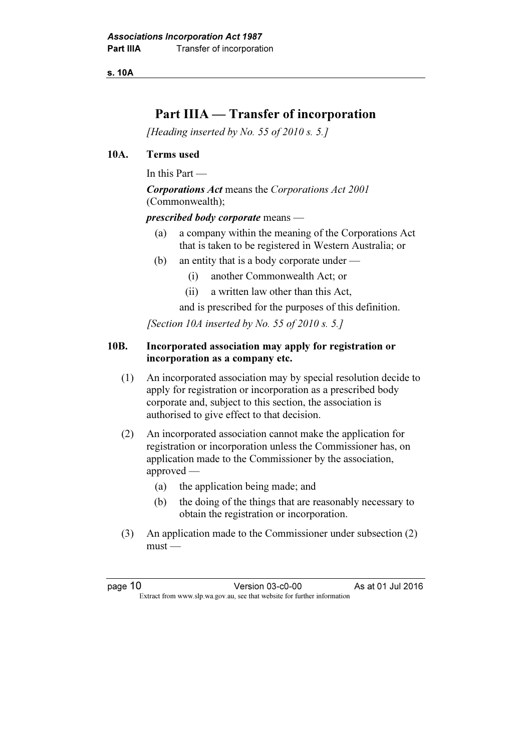s. 10A

# Part IIIA — Transfer of incorporation

[Heading inserted by No. 55 of 2010 s. 5.]

#### 10A. Terms used

In this Part —

Corporations Act means the Corporations Act 2001 (Commonwealth);

prescribed body corporate means —

- (a) a company within the meaning of the Corporations Act that is taken to be registered in Western Australia; or
- (b) an entity that is a body corporate under
	- (i) another Commonwealth Act; or
	- (ii) a written law other than this Act,

and is prescribed for the purposes of this definition.

[Section 10A inserted by No. 55 of 2010 s. 5.]

#### 10B. Incorporated association may apply for registration or incorporation as a company etc.

- (1) An incorporated association may by special resolution decide to apply for registration or incorporation as a prescribed body corporate and, subject to this section, the association is authorised to give effect to that decision.
- (2) An incorporated association cannot make the application for registration or incorporation unless the Commissioner has, on application made to the Commissioner by the association, approved —
	- (a) the application being made; and
	- (b) the doing of the things that are reasonably necessary to obtain the registration or incorporation.
- (3) An application made to the Commissioner under subsection (2) must —

page 10 **Version 03-c0-00** As at 01 Jul 2016  $\mathbf{F}$  from which we be the website for further information for further information  $\mathbf{F}$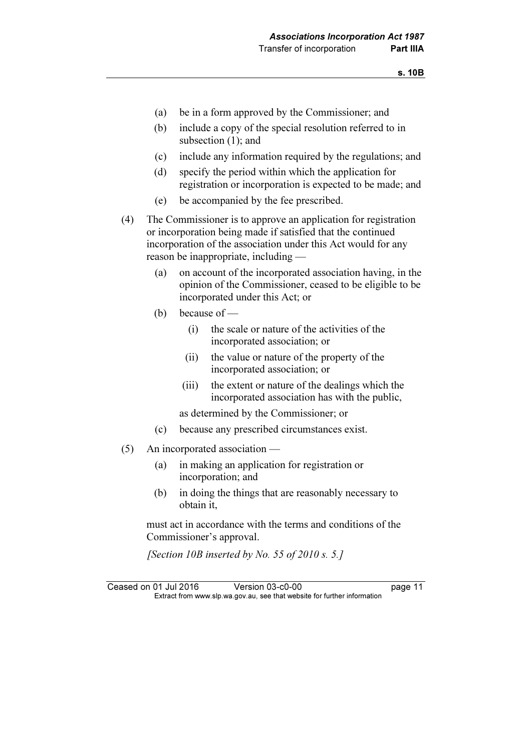- (a) be in a form approved by the Commissioner; and
- (b) include a copy of the special resolution referred to in subsection (1); and
- (c) include any information required by the regulations; and
- (d) specify the period within which the application for registration or incorporation is expected to be made; and
- (e) be accompanied by the fee prescribed.
- (4) The Commissioner is to approve an application for registration or incorporation being made if satisfied that the continued incorporation of the association under this Act would for any reason be inappropriate, including —
	- (a) on account of the incorporated association having, in the opinion of the Commissioner, ceased to be eligible to be incorporated under this Act; or
	- (b) because of
		- (i) the scale or nature of the activities of the incorporated association; or
		- (ii) the value or nature of the property of the incorporated association; or
		- (iii) the extent or nature of the dealings which the incorporated association has with the public,

as determined by the Commissioner; or

- (c) because any prescribed circumstances exist.
- (5) An incorporated association
	- (a) in making an application for registration or incorporation; and
	- (b) in doing the things that are reasonably necessary to obtain it,

 must act in accordance with the terms and conditions of the Commissioner's approval.

[Section 10B inserted by No. 55 of 2010 s. 5.]

Ceased on 01 Jul 2016 Version 03-c0-00 page 11<br>Extract from www.slp.wa.gov.au, see that website for further information  $\mathbf{F}$  from which was the set that we besite for further information  $\mathbf{F}$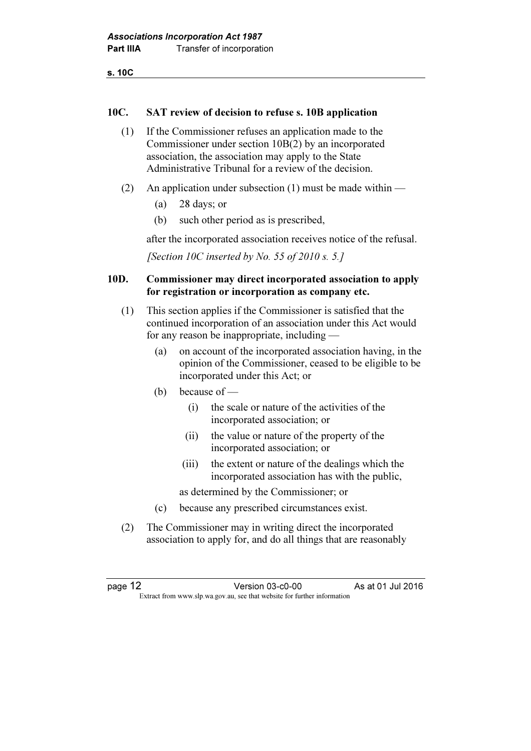s. 10C

#### 10C. SAT review of decision to refuse s. 10B application

- (1) If the Commissioner refuses an application made to the Commissioner under section 10B(2) by an incorporated association, the association may apply to the State Administrative Tribunal for a review of the decision.
- (2) An application under subsection (1) must be made within
	- (a) 28 days; or
	- (b) such other period as is prescribed,

after the incorporated association receives notice of the refusal.

[Section 10C inserted by No. 55 of 2010 s. 5.]

#### 10D. Commissioner may direct incorporated association to apply for registration or incorporation as company etc.

- (1) This section applies if the Commissioner is satisfied that the continued incorporation of an association under this Act would for any reason be inappropriate, including —
	- (a) on account of the incorporated association having, in the opinion of the Commissioner, ceased to be eligible to be incorporated under this Act; or
	- (b) because of
		- (i) the scale or nature of the activities of the incorporated association; or
		- (ii) the value or nature of the property of the incorporated association; or
		- (iii) the extent or nature of the dealings which the incorporated association has with the public,
		- as determined by the Commissioner; or
	- (c) because any prescribed circumstances exist.
- (2) The Commissioner may in writing direct the incorporated association to apply for, and do all things that are reasonably

page 12 **Version 03-c0-00** As at 01 Jul 2016  $\mathbf{F}$  from which we be the website for further information for further information  $\mathbf{F}$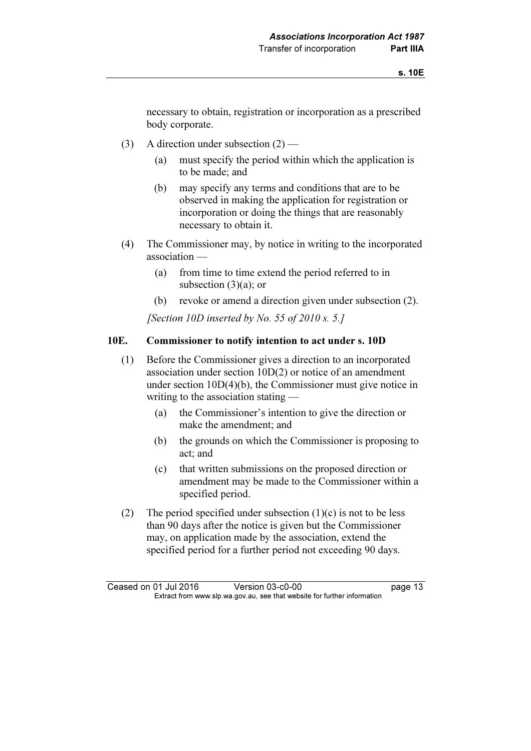necessary to obtain, registration or incorporation as a prescribed body corporate.

- (3) A direction under subsection (2)
	- (a) must specify the period within which the application is to be made; and
	- (b) may specify any terms and conditions that are to be observed in making the application for registration or incorporation or doing the things that are reasonably necessary to obtain it.
- (4) The Commissioner may, by notice in writing to the incorporated association —
	- (a) from time to time extend the period referred to in subsection  $(3)(a)$ ; or
	- (b) revoke or amend a direction given under subsection (2).

[Section 10D inserted by No. 55 of 2010 s. 5.]

#### 10E. Commissioner to notify intention to act under s. 10D

- (1) Before the Commissioner gives a direction to an incorporated association under section 10D(2) or notice of an amendment under section 10D(4)(b), the Commissioner must give notice in writing to the association stating —
	- (a) the Commissioner's intention to give the direction or make the amendment; and
	- (b) the grounds on which the Commissioner is proposing to act; and
	- (c) that written submissions on the proposed direction or amendment may be made to the Commissioner within a specified period.
- (2) The period specified under subsection  $(1)(c)$  is not to be less than 90 days after the notice is given but the Commissioner may, on application made by the association, extend the specified period for a further period not exceeding 90 days.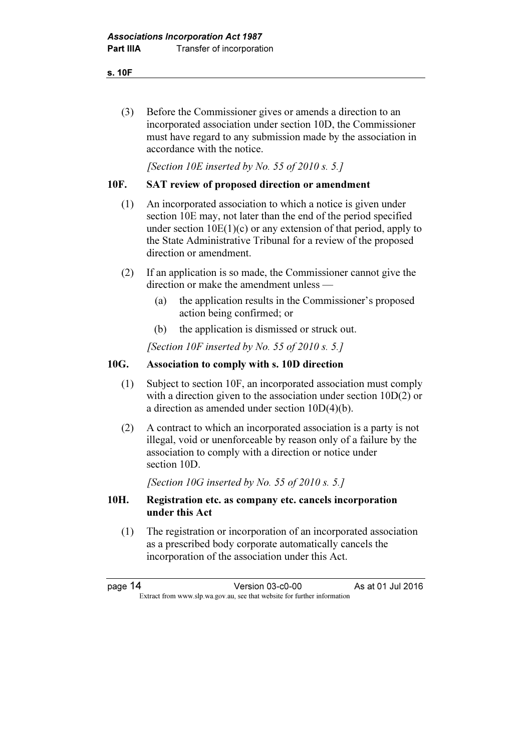s. 10F

 (3) Before the Commissioner gives or amends a direction to an incorporated association under section 10D, the Commissioner must have regard to any submission made by the association in accordance with the notice.

[Section 10E inserted by No. 55 of 2010 s. 5.]

### 10F. SAT review of proposed direction or amendment

- (1) An incorporated association to which a notice is given under section 10E may, not later than the end of the period specified under section  $10E(1)(c)$  or any extension of that period, apply to the State Administrative Tribunal for a review of the proposed direction or amendment.
- (2) If an application is so made, the Commissioner cannot give the direction or make the amendment unless —
	- (a) the application results in the Commissioner's proposed action being confirmed; or
	- (b) the application is dismissed or struck out.

[Section 10F inserted by No. 55 of 2010 s. 5.]

### 10G. Association to comply with s. 10D direction

- (1) Subject to section 10F, an incorporated association must comply with a direction given to the association under section 10D(2) or a direction as amended under section 10D(4)(b).
- (2) A contract to which an incorporated association is a party is not illegal, void or unenforceable by reason only of a failure by the association to comply with a direction or notice under section 10D.

[Section 10G inserted by No. 55 of 2010 s. 5.]

#### 10H. Registration etc. as company etc. cancels incorporation under this Act

 (1) The registration or incorporation of an incorporated association as a prescribed body corporate automatically cancels the incorporation of the association under this Act.

| page 14 | Version 03-c0-00                                                         | As at 01 Jul 2016 |  |
|---------|--------------------------------------------------------------------------|-------------------|--|
|         | Extract from www.slp.wa.gov.au, see that website for further information |                   |  |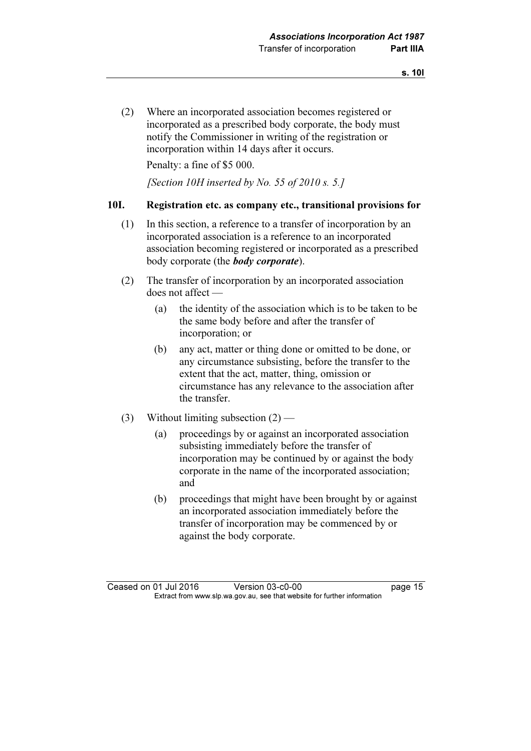(2) Where an incorporated association becomes registered or incorporated as a prescribed body corporate, the body must notify the Commissioner in writing of the registration or incorporation within 14 days after it occurs.

Penalty: a fine of \$5 000.

[Section 10H inserted by No. 55 of 2010 s. 5.]

#### 10I. Registration etc. as company etc., transitional provisions for

- (1) In this section, a reference to a transfer of incorporation by an incorporated association is a reference to an incorporated association becoming registered or incorporated as a prescribed body corporate (the **body corporate**).
- (2) The transfer of incorporation by an incorporated association does not affect —
	- (a) the identity of the association which is to be taken to be the same body before and after the transfer of incorporation; or
	- (b) any act, matter or thing done or omitted to be done, or any circumstance subsisting, before the transfer to the extent that the act, matter, thing, omission or circumstance has any relevance to the association after the transfer.
- (3) Without limiting subsection  $(2)$ 
	- (a) proceedings by or against an incorporated association subsisting immediately before the transfer of incorporation may be continued by or against the body corporate in the name of the incorporated association; and
	- (b) proceedings that might have been brought by or against an incorporated association immediately before the transfer of incorporation may be commenced by or against the body corporate.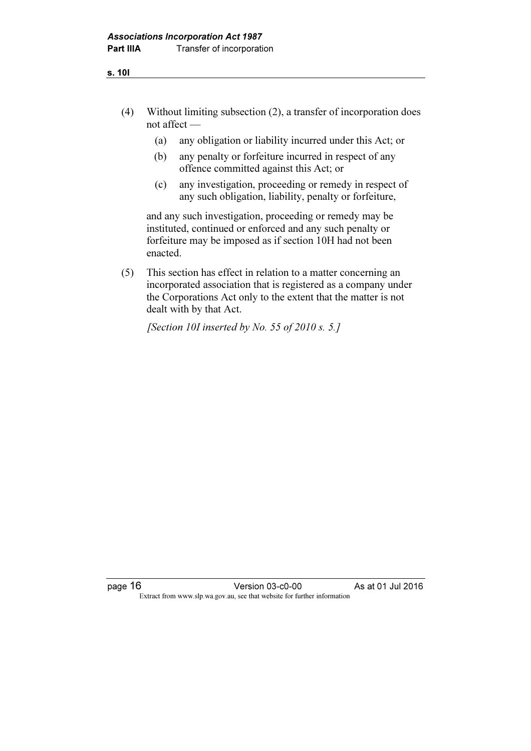- (4) Without limiting subsection (2), a transfer of incorporation does not affect —
	- (a) any obligation or liability incurred under this Act; or
	- (b) any penalty or forfeiture incurred in respect of any offence committed against this Act; or
	- (c) any investigation, proceeding or remedy in respect of any such obligation, liability, penalty or forfeiture,

 and any such investigation, proceeding or remedy may be instituted, continued or enforced and any such penalty or forfeiture may be imposed as if section 10H had not been enacted.

 (5) This section has effect in relation to a matter concerning an incorporated association that is registered as a company under the Corporations Act only to the extent that the matter is not dealt with by that Act.

[Section 10I inserted by No. 55 of 2010 s. 5.]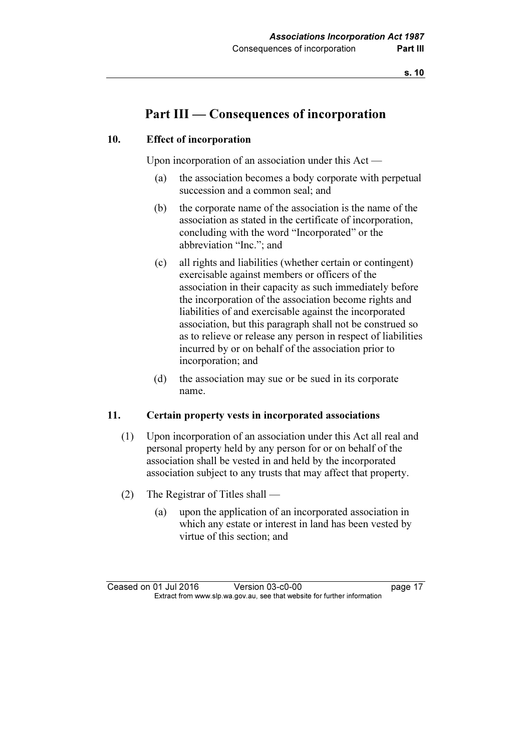# Part III — Consequences of incorporation

#### 10. Effect of incorporation

Upon incorporation of an association under this Act —

- (a) the association becomes a body corporate with perpetual succession and a common seal; and
- (b) the corporate name of the association is the name of the association as stated in the certificate of incorporation, concluding with the word "Incorporated" or the abbreviation "Inc."; and
- (c) all rights and liabilities (whether certain or contingent) exercisable against members or officers of the association in their capacity as such immediately before the incorporation of the association become rights and liabilities of and exercisable against the incorporated association, but this paragraph shall not be construed so as to relieve or release any person in respect of liabilities incurred by or on behalf of the association prior to incorporation; and
- (d) the association may sue or be sued in its corporate name.

#### 11. Certain property vests in incorporated associations

- (1) Upon incorporation of an association under this Act all real and personal property held by any person for or on behalf of the association shall be vested in and held by the incorporated association subject to any trusts that may affect that property.
- (2) The Registrar of Titles shall
	- (a) upon the application of an incorporated association in which any estate or interest in land has been vested by virtue of this section; and

Ceased on 01 Jul 2016 Version 03-c0-00 page 17<br>Extract from www.slp.wa.gov.au, see that website for further information  $\mathbf{F}$  from which was the set that we besite for further information  $\mathbf{F}$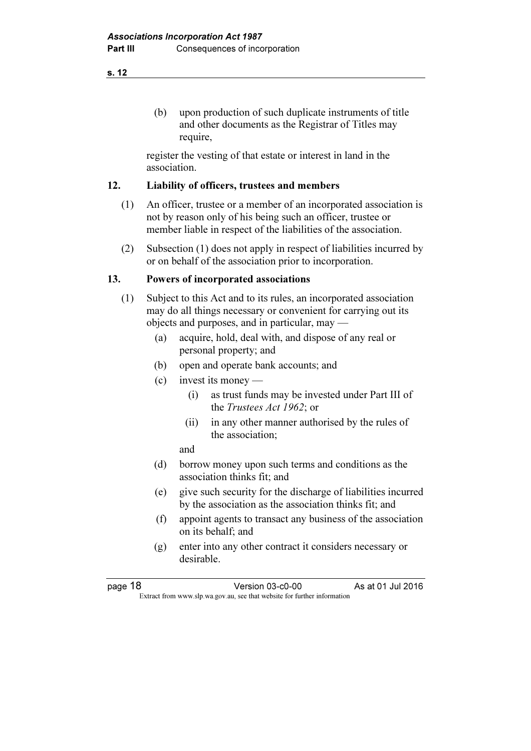(b) upon production of such duplicate instruments of title and other documents as the Registrar of Titles may require,

 register the vesting of that estate or interest in land in the association.

#### 12. Liability of officers, trustees and members

- (1) An officer, trustee or a member of an incorporated association is not by reason only of his being such an officer, trustee or member liable in respect of the liabilities of the association.
- (2) Subsection (1) does not apply in respect of liabilities incurred by or on behalf of the association prior to incorporation.

#### 13. Powers of incorporated associations

- (1) Subject to this Act and to its rules, an incorporated association may do all things necessary or convenient for carrying out its objects and purposes, and in particular, may —
	- (a) acquire, hold, deal with, and dispose of any real or personal property; and
	- (b) open and operate bank accounts; and
	- (c) invest its money
		- (i) as trust funds may be invested under Part III of the Trustees Act 1962; or
		- (ii) in any other manner authorised by the rules of the association;

and

- (d) borrow money upon such terms and conditions as the association thinks fit; and
- (e) give such security for the discharge of liabilities incurred by the association as the association thinks fit; and
- (f) appoint agents to transact any business of the association on its behalf; and
- (g) enter into any other contract it considers necessary or desirable.

s. 12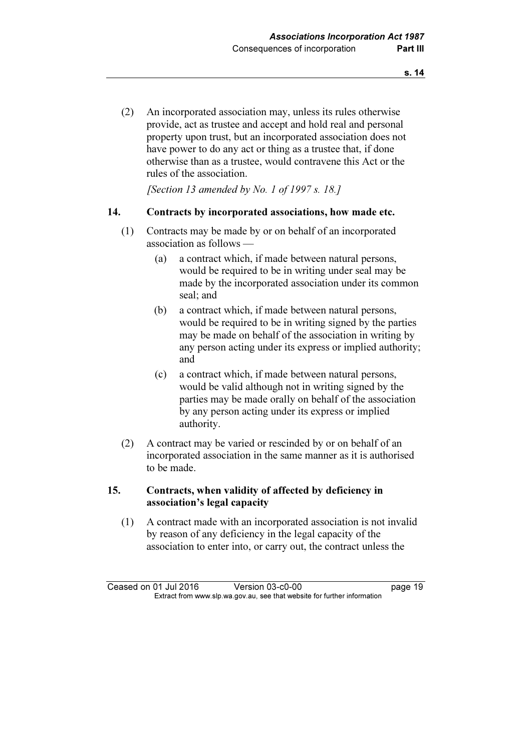(2) An incorporated association may, unless its rules otherwise provide, act as trustee and accept and hold real and personal property upon trust, but an incorporated association does not have power to do any act or thing as a trustee that, if done otherwise than as a trustee, would contravene this Act or the rules of the association.

[Section 13 amended by No. 1 of 1997 s. 18.]

#### 14. Contracts by incorporated associations, how made etc.

- (1) Contracts may be made by or on behalf of an incorporated association as follows —
	- (a) a contract which, if made between natural persons, would be required to be in writing under seal may be made by the incorporated association under its common seal; and
	- (b) a contract which, if made between natural persons, would be required to be in writing signed by the parties may be made on behalf of the association in writing by any person acting under its express or implied authority; and
	- (c) a contract which, if made between natural persons, would be valid although not in writing signed by the parties may be made orally on behalf of the association by any person acting under its express or implied authority.
- (2) A contract may be varied or rescinded by or on behalf of an incorporated association in the same manner as it is authorised to be made.

### 15. Contracts, when validity of affected by deficiency in association's legal capacity

 (1) A contract made with an incorporated association is not invalid by reason of any deficiency in the legal capacity of the association to enter into, or carry out, the contract unless the

Ceased on 01 Jul 2016 Version 03-c0-00 page 19<br>Extract from www.slp.wa.gov.au, see that website for further information  $\mathbf{F}$  from which was the set that we besite for further information  $\mathbf{F}$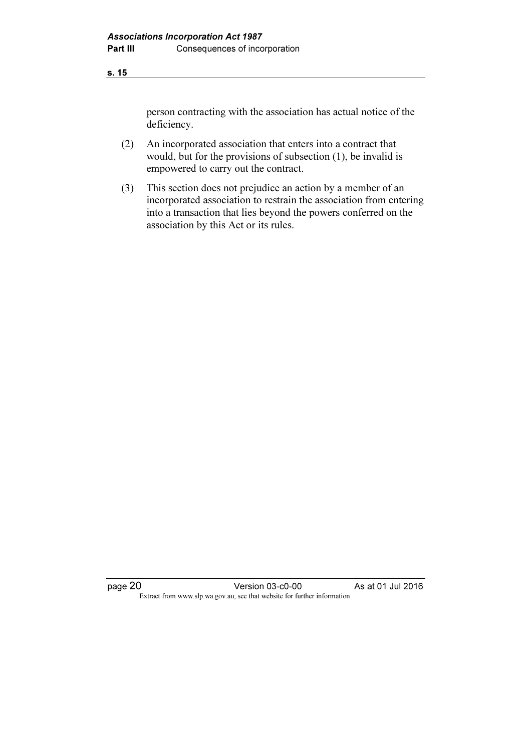person contracting with the association has actual notice of the deficiency.

- (2) An incorporated association that enters into a contract that would, but for the provisions of subsection (1), be invalid is empowered to carry out the contract.
- (3) This section does not prejudice an action by a member of an incorporated association to restrain the association from entering into a transaction that lies beyond the powers conferred on the association by this Act or its rules.

page 20 **Version 03-c0-00** As at 01 Jul 2016 Extract from www.slp.wa.gov.au, see that website for further information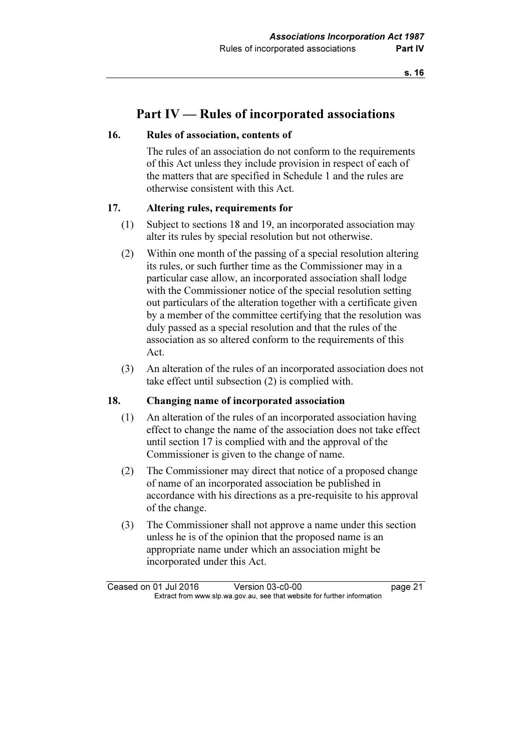## Part IV — Rules of incorporated associations

#### 16. Rules of association, contents of

 The rules of an association do not conform to the requirements of this Act unless they include provision in respect of each of the matters that are specified in Schedule 1 and the rules are otherwise consistent with this Act.

#### 17. Altering rules, requirements for

- (1) Subject to sections 18 and 19, an incorporated association may alter its rules by special resolution but not otherwise.
- (2) Within one month of the passing of a special resolution altering its rules, or such further time as the Commissioner may in a particular case allow, an incorporated association shall lodge with the Commissioner notice of the special resolution setting out particulars of the alteration together with a certificate given by a member of the committee certifying that the resolution was duly passed as a special resolution and that the rules of the association as so altered conform to the requirements of this Act.
- (3) An alteration of the rules of an incorporated association does not take effect until subsection (2) is complied with.

#### 18. Changing name of incorporated association

- (1) An alteration of the rules of an incorporated association having effect to change the name of the association does not take effect until section 17 is complied with and the approval of the Commissioner is given to the change of name.
- (2) The Commissioner may direct that notice of a proposed change of name of an incorporated association be published in accordance with his directions as a pre-requisite to his approval of the change.
- (3) The Commissioner shall not approve a name under this section unless he is of the opinion that the proposed name is an appropriate name under which an association might be incorporated under this Act.

Ceased on 01 Jul 2016 Version 03-c0-00 page 21<br>Extract from www.slp.wa.gov.au, see that website for further information  $\mathbf{F}$  from which was the set that we besite for further information  $\mathbf{F}$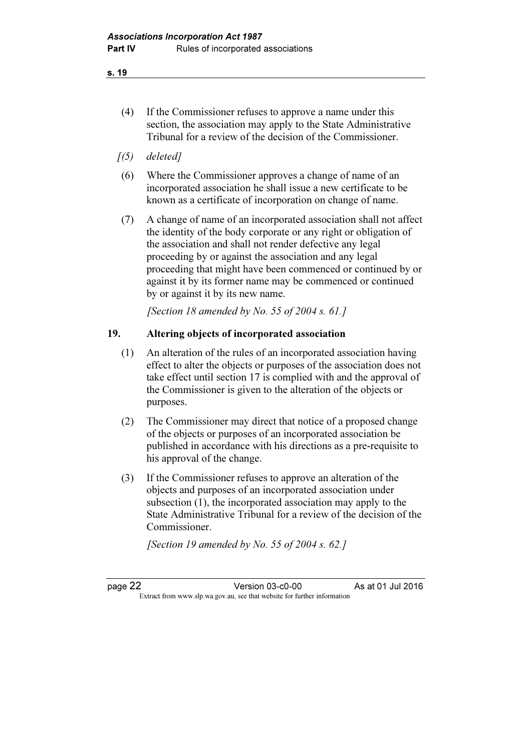- (4) If the Commissioner refuses to approve a name under this section, the association may apply to the State Administrative Tribunal for a review of the decision of the Commissioner.
- $(5)$  deleted]
- (6) Where the Commissioner approves a change of name of an incorporated association he shall issue a new certificate to be known as a certificate of incorporation on change of name.
- (7) A change of name of an incorporated association shall not affect the identity of the body corporate or any right or obligation of the association and shall not render defective any legal proceeding by or against the association and any legal proceeding that might have been commenced or continued by or against it by its former name may be commenced or continued by or against it by its new name.

[Section 18 amended by No. 55 of 2004 s. 61.]

#### 19. Altering objects of incorporated association

- (1) An alteration of the rules of an incorporated association having effect to alter the objects or purposes of the association does not take effect until section 17 is complied with and the approval of the Commissioner is given to the alteration of the objects or purposes.
- (2) The Commissioner may direct that notice of a proposed change of the objects or purposes of an incorporated association be published in accordance with his directions as a pre-requisite to his approval of the change.
- (3) If the Commissioner refuses to approve an alteration of the objects and purposes of an incorporated association under subsection (1), the incorporated association may apply to the State Administrative Tribunal for a review of the decision of the Commissioner.

[Section 19 amended by No. 55 of 2004 s. 62.]

page 22 Version 03-c0-00 As at 01 Jul 2016  $\mathbf{F}$  from which we be the website for further information for further information  $\mathbf{F}$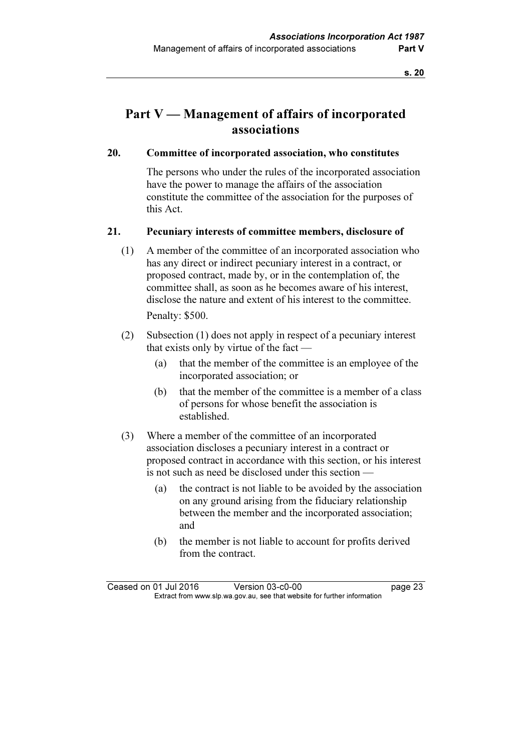# Part V — Management of affairs of incorporated associations

#### 20. Committee of incorporated association, who constitutes

 The persons who under the rules of the incorporated association have the power to manage the affairs of the association constitute the committee of the association for the purposes of this Act.

#### 21. Pecuniary interests of committee members, disclosure of

- (1) A member of the committee of an incorporated association who has any direct or indirect pecuniary interest in a contract, or proposed contract, made by, or in the contemplation of, the committee shall, as soon as he becomes aware of his interest, disclose the nature and extent of his interest to the committee. Penalty: \$500.
- (2) Subsection (1) does not apply in respect of a pecuniary interest that exists only by virtue of the fact —
	- (a) that the member of the committee is an employee of the incorporated association; or
	- (b) that the member of the committee is a member of a class of persons for whose benefit the association is established.
- (3) Where a member of the committee of an incorporated association discloses a pecuniary interest in a contract or proposed contract in accordance with this section, or his interest is not such as need be disclosed under this section —
	- (a) the contract is not liable to be avoided by the association on any ground arising from the fiduciary relationship between the member and the incorporated association; and
	- (b) the member is not liable to account for profits derived from the contract.

Ceased on 01 Jul 2016 Version 03-c0-00 page 23<br>Extract from www.slp.wa.gov.au, see that website for further information  $\mathbf{F}$  from which was the set that we besite for further information  $\mathbf{F}$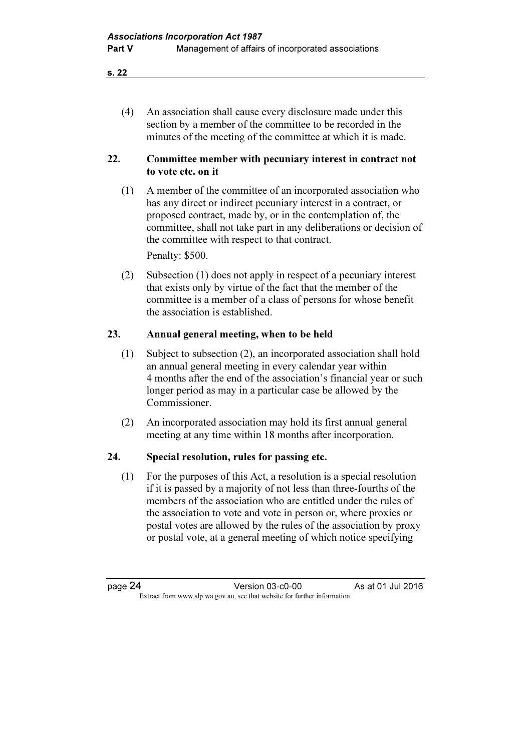(4) An association shall cause every disclosure made under this section by a member of the committee to be recorded in the minutes of the meeting of the committee at which it is made.

#### 22. Committee member with pecuniary interest in contract not to vote etc. on it

 (1) A member of the committee of an incorporated association who has any direct or indirect pecuniary interest in a contract, or proposed contract, made by, or in the contemplation of, the committee, shall not take part in any deliberations or decision of the committee with respect to that contract.

Penalty: \$500.

 (2) Subsection (1) does not apply in respect of a pecuniary interest that exists only by virtue of the fact that the member of the committee is a member of a class of persons for whose benefit the association is established.

### 23. Annual general meeting, when to be held

- (1) Subject to subsection (2), an incorporated association shall hold an annual general meeting in every calendar year within 4 months after the end of the association's financial year or such longer period as may in a particular case be allowed by the Commissioner.
- (2) An incorporated association may hold its first annual general meeting at any time within 18 months after incorporation.

### 24. Special resolution, rules for passing etc.

 (1) For the purposes of this Act, a resolution is a special resolution if it is passed by a majority of not less than three-fourths of the members of the association who are entitled under the rules of the association to vote and vote in person or, where proxies or postal votes are allowed by the rules of the association by proxy or postal vote, at a general meeting of which notice specifying

page 24 Version 03-c0-00 As at 01 Jul 2016  $\mathbf{F}$  from which we be the website for further information for further information  $\mathbf{F}$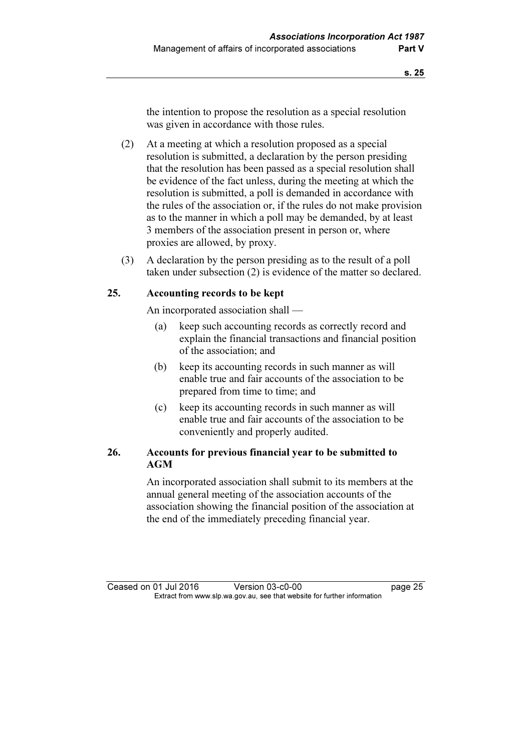the intention to propose the resolution as a special resolution was given in accordance with those rules.

- (2) At a meeting at which a resolution proposed as a special resolution is submitted, a declaration by the person presiding that the resolution has been passed as a special resolution shall be evidence of the fact unless, during the meeting at which the resolution is submitted, a poll is demanded in accordance with the rules of the association or, if the rules do not make provision as to the manner in which a poll may be demanded, by at least 3 members of the association present in person or, where proxies are allowed, by proxy.
- (3) A declaration by the person presiding as to the result of a poll taken under subsection (2) is evidence of the matter so declared.

#### 25. Accounting records to be kept

An incorporated association shall —

- (a) keep such accounting records as correctly record and explain the financial transactions and financial position of the association; and
- (b) keep its accounting records in such manner as will enable true and fair accounts of the association to be prepared from time to time; and
- (c) keep its accounting records in such manner as will enable true and fair accounts of the association to be conveniently and properly audited.

### 26. Accounts for previous financial year to be submitted to AGM

 An incorporated association shall submit to its members at the annual general meeting of the association accounts of the association showing the financial position of the association at the end of the immediately preceding financial year.

Ceased on 01 Jul 2016 Version 03-c0-00 page 25<br>Extract from www.slp.wa.gov.au, see that website for further information  $\mathbf{F}$  from which was the set that we besite for further information  $\mathbf{F}$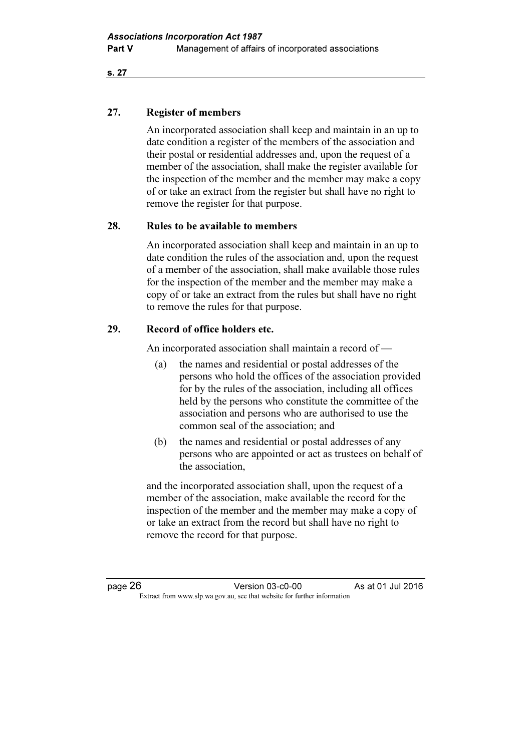#### 27. Register of members

 An incorporated association shall keep and maintain in an up to date condition a register of the members of the association and their postal or residential addresses and, upon the request of a member of the association, shall make the register available for the inspection of the member and the member may make a copy of or take an extract from the register but shall have no right to remove the register for that purpose.

#### 28. Rules to be available to members

 An incorporated association shall keep and maintain in an up to date condition the rules of the association and, upon the request of a member of the association, shall make available those rules for the inspection of the member and the member may make a copy of or take an extract from the rules but shall have no right to remove the rules for that purpose.

### 29. Record of office holders etc.

An incorporated association shall maintain a record of —

- (a) the names and residential or postal addresses of the persons who hold the offices of the association provided for by the rules of the association, including all offices held by the persons who constitute the committee of the association and persons who are authorised to use the common seal of the association; and
- (b) the names and residential or postal addresses of any persons who are appointed or act as trustees on behalf of the association,

 and the incorporated association shall, upon the request of a member of the association, make available the record for the inspection of the member and the member may make a copy of or take an extract from the record but shall have no right to remove the record for that purpose.

page 26 **Version 03-c0-00** As at 01 Jul 2016  $\mathbf{F}$  from which we be the website for further information for further information  $\mathbf{F}$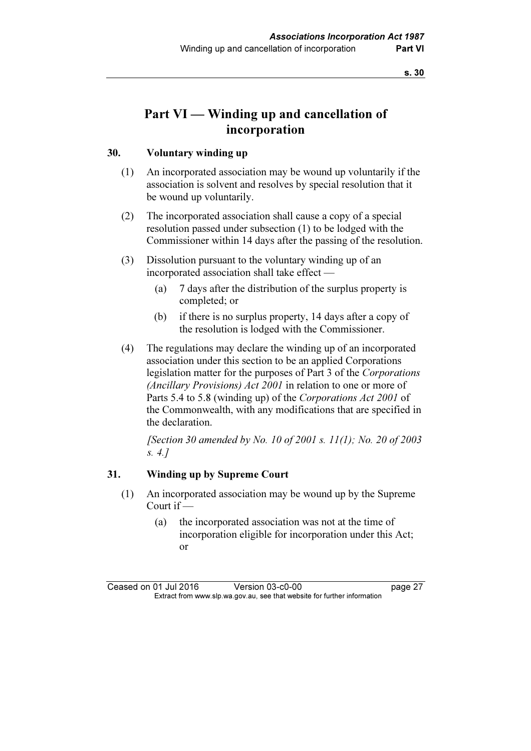# Part VI — Winding up and cancellation of incorporation

#### 30. Voluntary winding up

- (1) An incorporated association may be wound up voluntarily if the association is solvent and resolves by special resolution that it be wound up voluntarily.
- (2) The incorporated association shall cause a copy of a special resolution passed under subsection (1) to be lodged with the Commissioner within 14 days after the passing of the resolution.
- (3) Dissolution pursuant to the voluntary winding up of an incorporated association shall take effect —
	- (a) 7 days after the distribution of the surplus property is completed; or
	- (b) if there is no surplus property, 14 days after a copy of the resolution is lodged with the Commissioner.
- (4) The regulations may declare the winding up of an incorporated association under this section to be an applied Corporations legislation matter for the purposes of Part 3 of the Corporations (Ancillary Provisions) Act 2001 in relation to one or more of Parts 5.4 to 5.8 (winding up) of the Corporations Act 2001 of the Commonwealth, with any modifications that are specified in the declaration.

[Section 30 amended by No. 10 of 2001 s. 11(1); No. 20 of 2003 s. 4.]

#### 31. Winding up by Supreme Court

- (1) An incorporated association may be wound up by the Supreme Court if —
	- (a) the incorporated association was not at the time of incorporation eligible for incorporation under this Act; or

Ceased on 01 Jul 2016 Version 03-c0-00 page 27<br>Extract from www.slp.wa.gov.au, see that website for further information  $\mathbf{F}$  from which was the set that we besite for further information  $\mathbf{F}$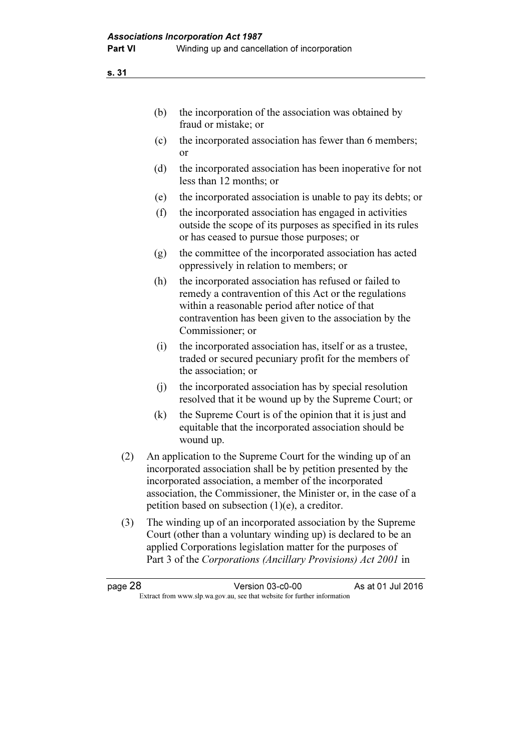| the incorporation of the association was obtained by |
|------------------------------------------------------|
| fraud or mistake; or                                 |

- (c) the incorporated association has fewer than 6 members; or
- (d) the incorporated association has been inoperative for not less than 12 months; or
- (e) the incorporated association is unable to pay its debts; or
- (f) the incorporated association has engaged in activities outside the scope of its purposes as specified in its rules or has ceased to pursue those purposes; or
- (g) the committee of the incorporated association has acted oppressively in relation to members; or
- (h) the incorporated association has refused or failed to remedy a contravention of this Act or the regulations within a reasonable period after notice of that contravention has been given to the association by the Commissioner; or
- (i) the incorporated association has, itself or as a trustee, traded or secured pecuniary profit for the members of the association; or
- (j) the incorporated association has by special resolution resolved that it be wound up by the Supreme Court; or
- (k) the Supreme Court is of the opinion that it is just and equitable that the incorporated association should be wound up.
- (2) An application to the Supreme Court for the winding up of an incorporated association shall be by petition presented by the incorporated association, a member of the incorporated association, the Commissioner, the Minister or, in the case of a petition based on subsection (1)(e), a creditor.
- (3) The winding up of an incorporated association by the Supreme Court (other than a voluntary winding up) is declared to be an applied Corporations legislation matter for the purposes of Part 3 of the Corporations (Ancillary Provisions) Act 2001 in

| page 28 | Version 03-c0-00                                                         | As at 01 Jul 2016 |
|---------|--------------------------------------------------------------------------|-------------------|
|         | Extract from www.slp.wa.gov.au, see that website for further information |                   |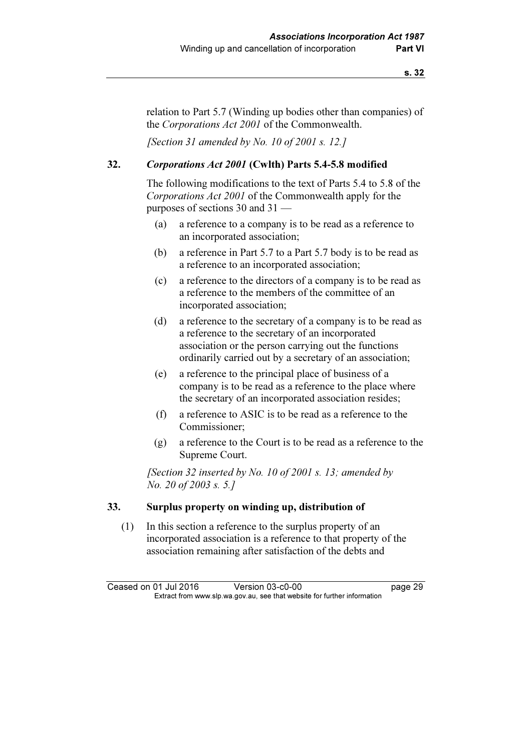relation to Part 5.7 (Winding up bodies other than companies) of the Corporations Act 2001 of the Commonwealth.

[Section 31 amended by No. 10 of 2001 s. 12.]

### 32. Corporations Act 2001 (Cwlth) Parts 5.4-5.8 modified

 The following modifications to the text of Parts 5.4 to 5.8 of the Corporations Act 2001 of the Commonwealth apply for the purposes of sections 30 and 31 —

- (a) a reference to a company is to be read as a reference to an incorporated association;
- (b) a reference in Part 5.7 to a Part 5.7 body is to be read as a reference to an incorporated association;
- (c) a reference to the directors of a company is to be read as a reference to the members of the committee of an incorporated association;
- (d) a reference to the secretary of a company is to be read as a reference to the secretary of an incorporated association or the person carrying out the functions ordinarily carried out by a secretary of an association;
- (e) a reference to the principal place of business of a company is to be read as a reference to the place where the secretary of an incorporated association resides;
- (f) a reference to ASIC is to be read as a reference to the Commissioner;
- (g) a reference to the Court is to be read as a reference to the Supreme Court.

[Section 32 inserted by No. 10 of 2001 s. 13; amended by No. 20 of 2003 s. 5.]

#### 33. Surplus property on winding up, distribution of

 (1) In this section a reference to the surplus property of an incorporated association is a reference to that property of the association remaining after satisfaction of the debts and

Ceased on 01 Jul 2016 Version 03-c0-00 page 29<br>Extract from www.slp.wa.gov.au, see that website for further information  $\mathbf{F}$  from which was the set that we besite for further information  $\mathbf{F}$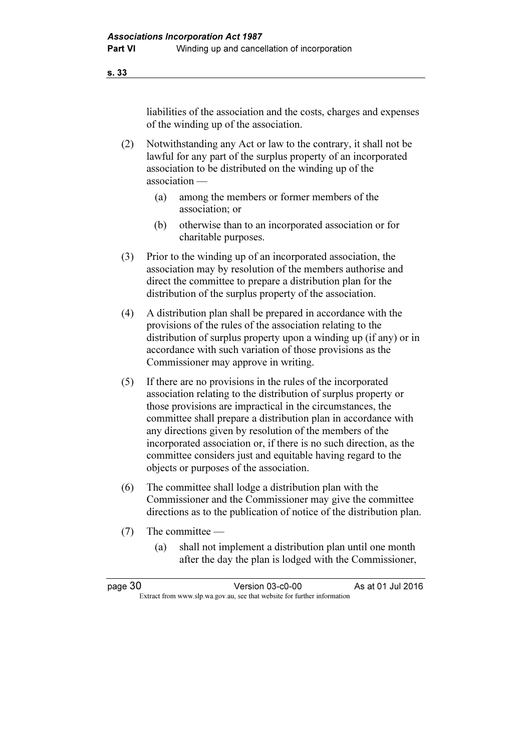liabilities of the association and the costs, charges and expenses of the winding up of the association.

- (2) Notwithstanding any Act or law to the contrary, it shall not be lawful for any part of the surplus property of an incorporated association to be distributed on the winding up of the association —
	- (a) among the members or former members of the association; or
	- (b) otherwise than to an incorporated association or for charitable purposes.
- (3) Prior to the winding up of an incorporated association, the association may by resolution of the members authorise and direct the committee to prepare a distribution plan for the distribution of the surplus property of the association.
- (4) A distribution plan shall be prepared in accordance with the provisions of the rules of the association relating to the distribution of surplus property upon a winding up (if any) or in accordance with such variation of those provisions as the Commissioner may approve in writing.
- (5) If there are no provisions in the rules of the incorporated association relating to the distribution of surplus property or those provisions are impractical in the circumstances, the committee shall prepare a distribution plan in accordance with any directions given by resolution of the members of the incorporated association or, if there is no such direction, as the committee considers just and equitable having regard to the objects or purposes of the association.
- (6) The committee shall lodge a distribution plan with the Commissioner and the Commissioner may give the committee directions as to the publication of notice of the distribution plan.
- (7) The committee
	- (a) shall not implement a distribution plan until one month after the day the plan is lodged with the Commissioner,

| page 30 | Version 03-c0-00                                                         | As at 01 Jul 2016 |  |
|---------|--------------------------------------------------------------------------|-------------------|--|
|         | Extract from www.slp.wa.gov.au, see that website for further information |                   |  |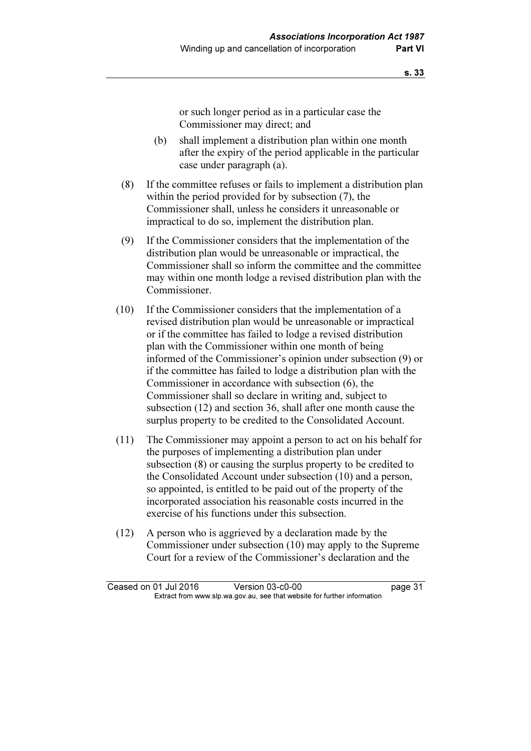or such longer period as in a particular case the Commissioner may direct; and

- (b) shall implement a distribution plan within one month after the expiry of the period applicable in the particular case under paragraph (a).
- (8) If the committee refuses or fails to implement a distribution plan within the period provided for by subsection (7), the Commissioner shall, unless he considers it unreasonable or impractical to do so, implement the distribution plan.
- (9) If the Commissioner considers that the implementation of the distribution plan would be unreasonable or impractical, the Commissioner shall so inform the committee and the committee may within one month lodge a revised distribution plan with the Commissioner.
- (10) If the Commissioner considers that the implementation of a revised distribution plan would be unreasonable or impractical or if the committee has failed to lodge a revised distribution plan with the Commissioner within one month of being informed of the Commissioner's opinion under subsection (9) or if the committee has failed to lodge a distribution plan with the Commissioner in accordance with subsection (6), the Commissioner shall so declare in writing and, subject to subsection (12) and section 36, shall after one month cause the surplus property to be credited to the Consolidated Account.
- (11) The Commissioner may appoint a person to act on his behalf for the purposes of implementing a distribution plan under subsection (8) or causing the surplus property to be credited to the Consolidated Account under subsection (10) and a person, so appointed, is entitled to be paid out of the property of the incorporated association his reasonable costs incurred in the exercise of his functions under this subsection.
- (12) A person who is aggrieved by a declaration made by the Commissioner under subsection (10) may apply to the Supreme Court for a review of the Commissioner's declaration and the

Ceased on 01 Jul 2016 Version 03-c0-00 page 31<br>Extract from www.slp.wa.gov.au, see that website for further information  $\mathbf{F}$  from which was the set that we besite for further information  $\mathbf{F}$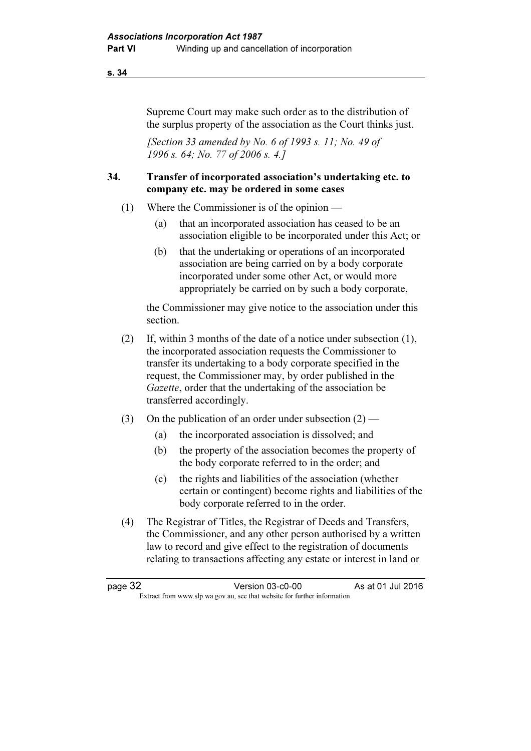Supreme Court may make such order as to the distribution of the surplus property of the association as the Court thinks just.

[Section 33 amended by No. 6 of 1993 s. 11; No. 49 of 1996 s. 64; No. 77 of 2006 s. 4.]

#### 34. Transfer of incorporated association's undertaking etc. to company etc. may be ordered in some cases

- (1) Where the Commissioner is of the opinion
	- (a) that an incorporated association has ceased to be an association eligible to be incorporated under this Act; or
	- (b) that the undertaking or operations of an incorporated association are being carried on by a body corporate incorporated under some other Act, or would more appropriately be carried on by such a body corporate,

 the Commissioner may give notice to the association under this section.

- (2) If, within 3 months of the date of a notice under subsection (1), the incorporated association requests the Commissioner to transfer its undertaking to a body corporate specified in the request, the Commissioner may, by order published in the Gazette, order that the undertaking of the association be transferred accordingly.
- (3) On the publication of an order under subsection  $(2)$ 
	- (a) the incorporated association is dissolved; and
	- (b) the property of the association becomes the property of the body corporate referred to in the order; and
	- (c) the rights and liabilities of the association (whether certain or contingent) become rights and liabilities of the body corporate referred to in the order.
- (4) The Registrar of Titles, the Registrar of Deeds and Transfers, the Commissioner, and any other person authorised by a written law to record and give effect to the registration of documents relating to transactions affecting any estate or interest in land or

| page 32 | Version 03-c0-00                                                         | As at 01 Jul 2016 |
|---------|--------------------------------------------------------------------------|-------------------|
|         | Extract from www.slp.wa.gov.au, see that website for further information |                   |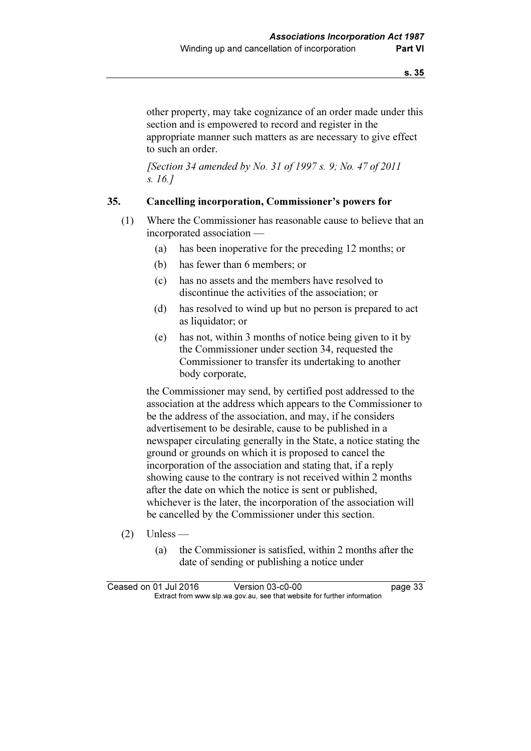other property, may take cognizance of an order made under this section and is empowered to record and register in the appropriate manner such matters as are necessary to give effect to such an order.

[Section 34 amended by No. 31 of 1997 s. 9; No. 47 of 2011] s. 16.]

#### 35. Cancelling incorporation, Commissioner's powers for

- (1) Where the Commissioner has reasonable cause to believe that an incorporated association —
	- (a) has been inoperative for the preceding 12 months; or
	- (b) has fewer than 6 members; or
	- (c) has no assets and the members have resolved to discontinue the activities of the association; or
	- (d) has resolved to wind up but no person is prepared to act as liquidator; or
	- (e) has not, within 3 months of notice being given to it by the Commissioner under section 34, requested the Commissioner to transfer its undertaking to another body corporate,

 the Commissioner may send, by certified post addressed to the association at the address which appears to the Commissioner to be the address of the association, and may, if he considers advertisement to be desirable, cause to be published in a newspaper circulating generally in the State, a notice stating the ground or grounds on which it is proposed to cancel the incorporation of the association and stating that, if a reply showing cause to the contrary is not received within 2 months after the date on which the notice is sent or published, whichever is the later, the incorporation of the association will be cancelled by the Commissioner under this section.

- $(2)$  Unless
	- (a) the Commissioner is satisfied, within 2 months after the date of sending or publishing a notice under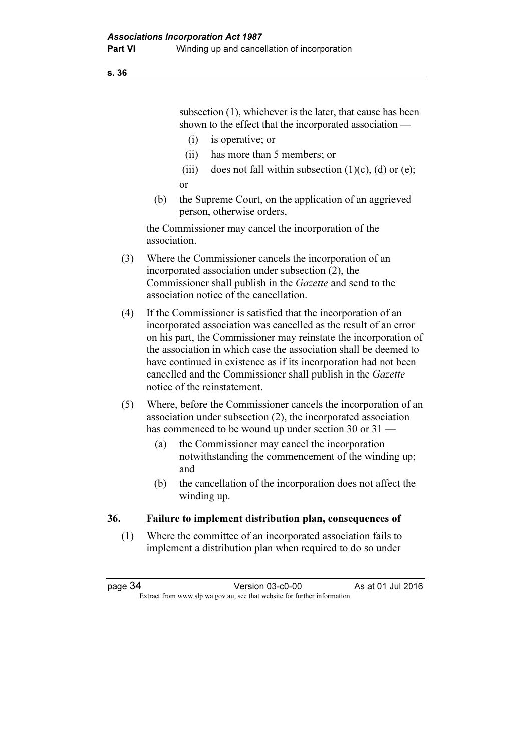subsection (1), whichever is the later, that cause has been shown to the effect that the incorporated association —

- (i) is operative; or
- (ii) has more than 5 members; or
- (iii) does not fall within subsection  $(1)(c)$ ,  $(d)$  or  $(e)$ ; or
- (b) the Supreme Court, on the application of an aggrieved person, otherwise orders,

 the Commissioner may cancel the incorporation of the association.

- (3) Where the Commissioner cancels the incorporation of an incorporated association under subsection (2), the Commissioner shall publish in the Gazette and send to the association notice of the cancellation.
- (4) If the Commissioner is satisfied that the incorporation of an incorporated association was cancelled as the result of an error on his part, the Commissioner may reinstate the incorporation of the association in which case the association shall be deemed to have continued in existence as if its incorporation had not been cancelled and the Commissioner shall publish in the Gazette notice of the reinstatement.
- (5) Where, before the Commissioner cancels the incorporation of an association under subsection (2), the incorporated association has commenced to be wound up under section 30 or 31
	- (a) the Commissioner may cancel the incorporation notwithstanding the commencement of the winding up; and
	- (b) the cancellation of the incorporation does not affect the winding up.

#### 36. Failure to implement distribution plan, consequences of

 (1) Where the committee of an incorporated association fails to implement a distribution plan when required to do so under

page 34 Version 03-c0-00 As at 01 Jul 2016  $\mathbf{F}$  from which we be the website for further information for further information  $\mathbf{F}$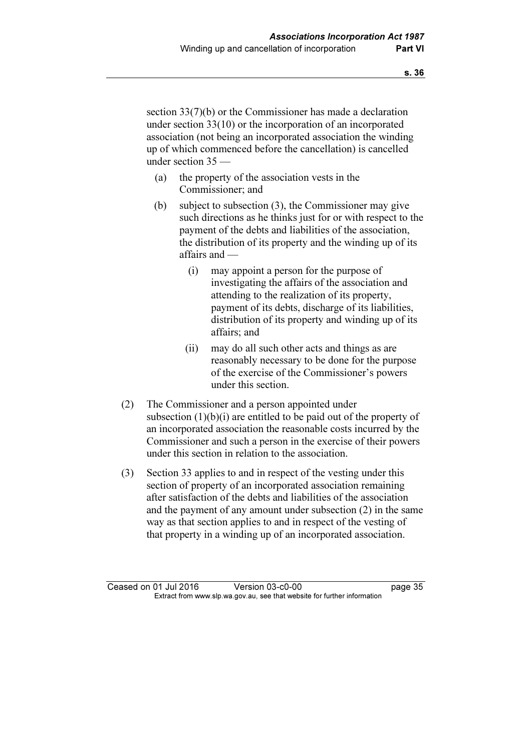section 33(7)(b) or the Commissioner has made a declaration under section 33(10) or the incorporation of an incorporated association (not being an incorporated association the winding up of which commenced before the cancellation) is cancelled under section 35 —

- (a) the property of the association vests in the Commissioner; and
- (b) subject to subsection (3), the Commissioner may give such directions as he thinks just for or with respect to the payment of the debts and liabilities of the association, the distribution of its property and the winding up of its affairs and —
	- (i) may appoint a person for the purpose of investigating the affairs of the association and attending to the realization of its property, payment of its debts, discharge of its liabilities, distribution of its property and winding up of its affairs; and
	- (ii) may do all such other acts and things as are reasonably necessary to be done for the purpose of the exercise of the Commissioner's powers under this section.
- (2) The Commissioner and a person appointed under subsection  $(1)(b)(i)$  are entitled to be paid out of the property of an incorporated association the reasonable costs incurred by the Commissioner and such a person in the exercise of their powers under this section in relation to the association.
- (3) Section 33 applies to and in respect of the vesting under this section of property of an incorporated association remaining after satisfaction of the debts and liabilities of the association and the payment of any amount under subsection (2) in the same way as that section applies to and in respect of the vesting of that property in a winding up of an incorporated association.

Ceased on 01 Jul 2016 Version 03-c0-00 page 35<br>Extract from www.slp.wa.gov.au, see that website for further information  $\mathbf{F}$  from which was the set that we besite for further information  $\mathbf{F}$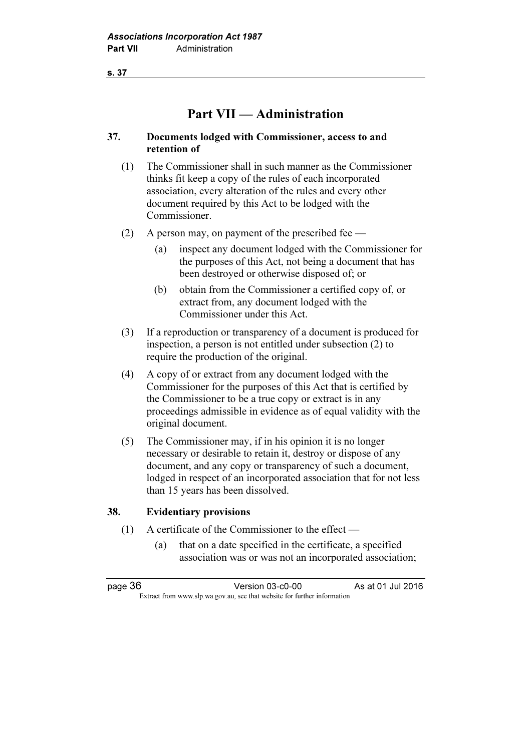# Part VII — Administration

### 37. Documents lodged with Commissioner, access to and retention of

- (1) The Commissioner shall in such manner as the Commissioner thinks fit keep a copy of the rules of each incorporated association, every alteration of the rules and every other document required by this Act to be lodged with the Commissioner.
- (2) A person may, on payment of the prescribed fee
	- (a) inspect any document lodged with the Commissioner for the purposes of this Act, not being a document that has been destroyed or otherwise disposed of; or
	- (b) obtain from the Commissioner a certified copy of, or extract from, any document lodged with the Commissioner under this Act.
- (3) If a reproduction or transparency of a document is produced for inspection, a person is not entitled under subsection (2) to require the production of the original.
- (4) A copy of or extract from any document lodged with the Commissioner for the purposes of this Act that is certified by the Commissioner to be a true copy or extract is in any proceedings admissible in evidence as of equal validity with the original document.
- (5) The Commissioner may, if in his opinion it is no longer necessary or desirable to retain it, destroy or dispose of any document, and any copy or transparency of such a document, lodged in respect of an incorporated association that for not less than 15 years has been dissolved.

#### 38. Evidentiary provisions

- (1) A certificate of the Commissioner to the effect
	- (a) that on a date specified in the certificate, a specified association was or was not an incorporated association;

page 36 Version 03-c0-00 As at 01 Jul 2016  $\mathbf{F}$  from which we be the website for further information for further information  $\mathbf{F}$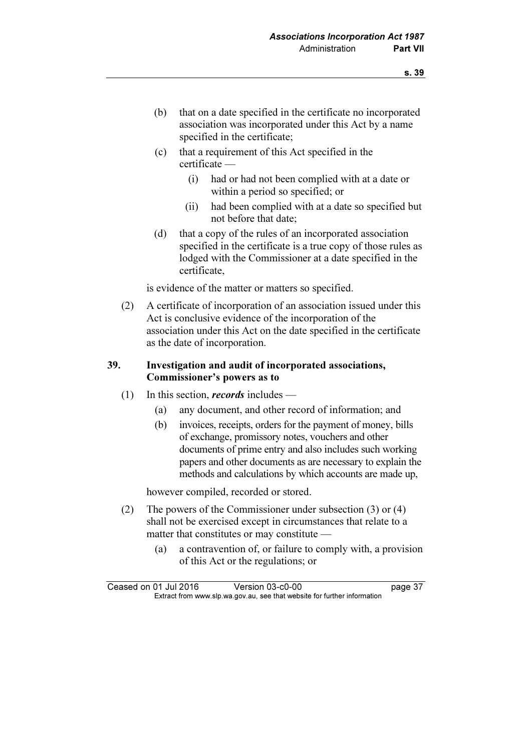- (b) that on a date specified in the certificate no incorporated association was incorporated under this Act by a name specified in the certificate;
- (c) that a requirement of this Act specified in the certificate —
	- (i) had or had not been complied with at a date or within a period so specified; or
	- (ii) had been complied with at a date so specified but not before that date;
- (d) that a copy of the rules of an incorporated association specified in the certificate is a true copy of those rules as lodged with the Commissioner at a date specified in the certificate,

is evidence of the matter or matters so specified.

 (2) A certificate of incorporation of an association issued under this Act is conclusive evidence of the incorporation of the association under this Act on the date specified in the certificate as the date of incorporation.

### 39. Investigation and audit of incorporated associations, Commissioner's powers as to

- (1) In this section, *records* includes
	- (a) any document, and other record of information; and
	- (b) invoices, receipts, orders for the payment of money, bills of exchange, promissory notes, vouchers and other documents of prime entry and also includes such working papers and other documents as are necessary to explain the methods and calculations by which accounts are made up,

however compiled, recorded or stored.

- (2) The powers of the Commissioner under subsection (3) or (4) shall not be exercised except in circumstances that relate to a matter that constitutes or may constitute —
	- (a) a contravention of, or failure to comply with, a provision of this Act or the regulations; or

Ceased on 01 Jul 2016 Version 03-c0-00 page 37<br>Extract from www.slp.wa.gov.au, see that website for further information  $\mathbf{F}$  from which was the set that we besite for further information  $\mathbf{F}$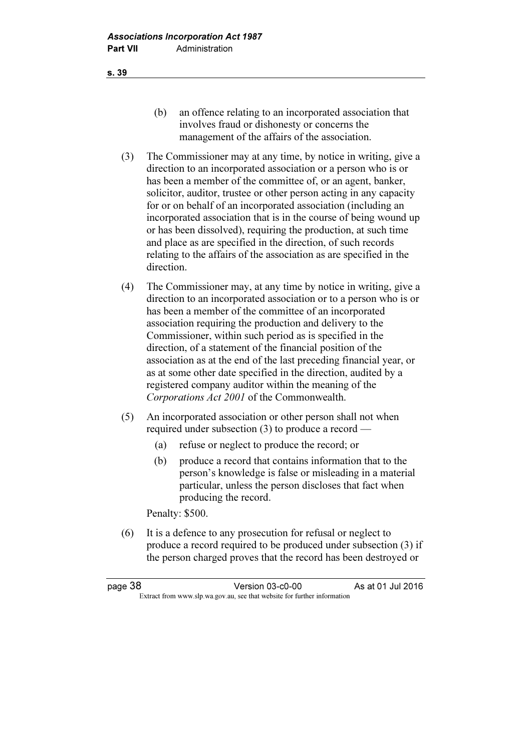- (b) an offence relating to an incorporated association that involves fraud or dishonesty or concerns the management of the affairs of the association.
- (3) The Commissioner may at any time, by notice in writing, give a direction to an incorporated association or a person who is or has been a member of the committee of, or an agent, banker, solicitor, auditor, trustee or other person acting in any capacity for or on behalf of an incorporated association (including an incorporated association that is in the course of being wound up or has been dissolved), requiring the production, at such time and place as are specified in the direction, of such records relating to the affairs of the association as are specified in the direction.
- (4) The Commissioner may, at any time by notice in writing, give a direction to an incorporated association or to a person who is or has been a member of the committee of an incorporated association requiring the production and delivery to the Commissioner, within such period as is specified in the direction, of a statement of the financial position of the association as at the end of the last preceding financial year, or as at some other date specified in the direction, audited by a registered company auditor within the meaning of the Corporations Act 2001 of the Commonwealth.
- (5) An incorporated association or other person shall not when required under subsection (3) to produce a record —
	- (a) refuse or neglect to produce the record; or
	- (b) produce a record that contains information that to the person's knowledge is false or misleading in a material particular, unless the person discloses that fact when producing the record.

Penalty: \$500.

 (6) It is a defence to any prosecution for refusal or neglect to produce a record required to be produced under subsection (3) if the person charged proves that the record has been destroyed or

s. 39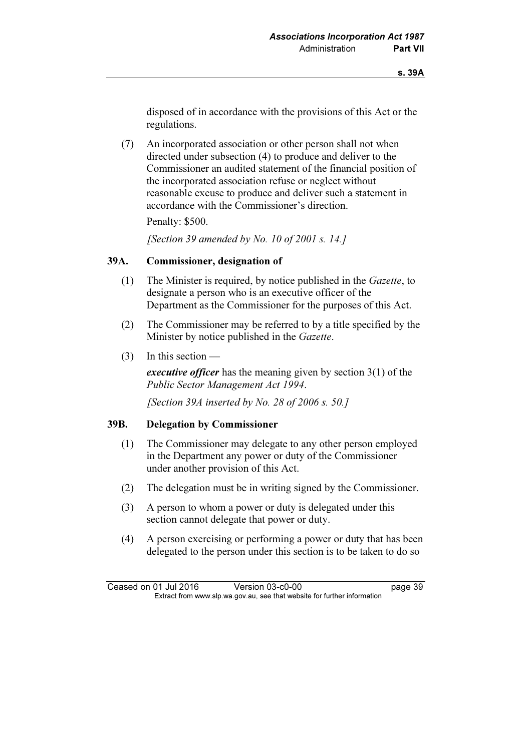disposed of in accordance with the provisions of this Act or the regulations.

 (7) An incorporated association or other person shall not when directed under subsection (4) to produce and deliver to the Commissioner an audited statement of the financial position of the incorporated association refuse or neglect without reasonable excuse to produce and deliver such a statement in accordance with the Commissioner's direction.

Penalty: \$500.

[Section 39 amended by No. 10 of 2001 s. 14.]

#### 39A. Commissioner, designation of

- (1) The Minister is required, by notice published in the Gazette, to designate a person who is an executive officer of the Department as the Commissioner for the purposes of this Act.
- (2) The Commissioner may be referred to by a title specified by the Minister by notice published in the Gazette.
- (3) In this section —

executive officer has the meaning given by section 3(1) of the Public Sector Management Act 1994.

[Section 39A inserted by No. 28 of 2006 s. 50.]

#### 39B. Delegation by Commissioner

- (1) The Commissioner may delegate to any other person employed in the Department any power or duty of the Commissioner under another provision of this Act.
- (2) The delegation must be in writing signed by the Commissioner.
- (3) A person to whom a power or duty is delegated under this section cannot delegate that power or duty.
- (4) A person exercising or performing a power or duty that has been delegated to the person under this section is to be taken to do so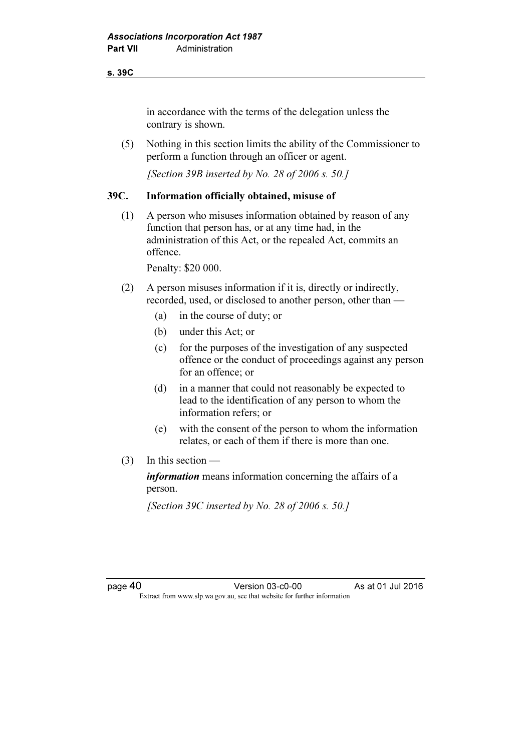#### s. 39C

in accordance with the terms of the delegation unless the contrary is shown.

 (5) Nothing in this section limits the ability of the Commissioner to perform a function through an officer or agent.

[Section 39B inserted by No. 28 of 2006 s. 50.]

#### 39C. Information officially obtained, misuse of

 (1) A person who misuses information obtained by reason of any function that person has, or at any time had, in the administration of this Act, or the repealed Act, commits an offence.

Penalty: \$20 000.

- (2) A person misuses information if it is, directly or indirectly, recorded, used, or disclosed to another person, other than —
	- (a) in the course of duty; or
	- (b) under this Act; or
	- (c) for the purposes of the investigation of any suspected offence or the conduct of proceedings against any person for an offence; or
	- (d) in a manner that could not reasonably be expected to lead to the identification of any person to whom the information refers; or
	- (e) with the consent of the person to whom the information relates, or each of them if there is more than one.
- $(3)$  In this section —

information means information concerning the affairs of a person.

[Section 39C inserted by No. 28 of 2006 s. 50.]

page 40 Version 03-c0-00 As at 01 Jul 2016<br>Extract from www.slp.wa.gov.au, see that website for further information  $\mathbf{F}$  from which we be the website for further information for further information  $\mathbf{F}$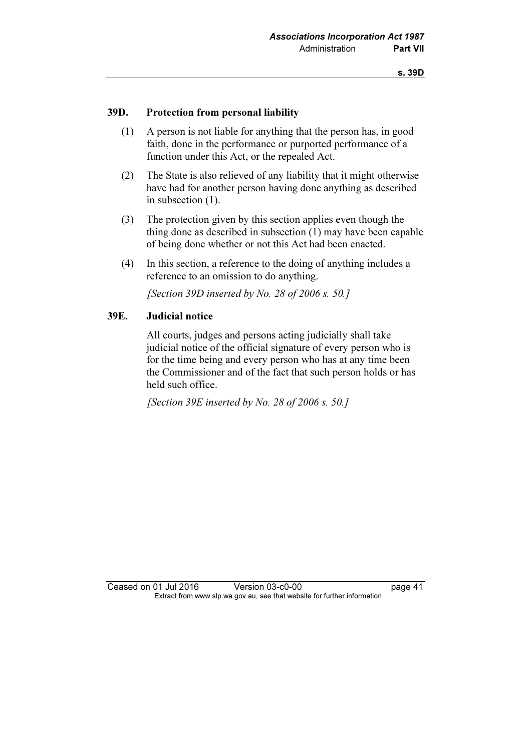#### 39D. Protection from personal liability

- (1) A person is not liable for anything that the person has, in good faith, done in the performance or purported performance of a function under this Act, or the repealed Act.
- (2) The State is also relieved of any liability that it might otherwise have had for another person having done anything as described in subsection (1).
- (3) The protection given by this section applies even though the thing done as described in subsection (1) may have been capable of being done whether or not this Act had been enacted.
- (4) In this section, a reference to the doing of anything includes a reference to an omission to do anything.

[Section 39D inserted by No. 28 of 2006 s. 50.]

#### 39E. Judicial notice

 All courts, judges and persons acting judicially shall take judicial notice of the official signature of every person who is for the time being and every person who has at any time been the Commissioner and of the fact that such person holds or has held such office.

[Section 39E inserted by No. 28 of 2006 s. 50.]

Ceased on 01 Jul 2016 Version 03-c0-00 page 41<br>Extract from www.slp.wa.gov.au, see that website for further information  $\mathbf{F}$  from which was the set that we besite for further information  $\mathbf{F}$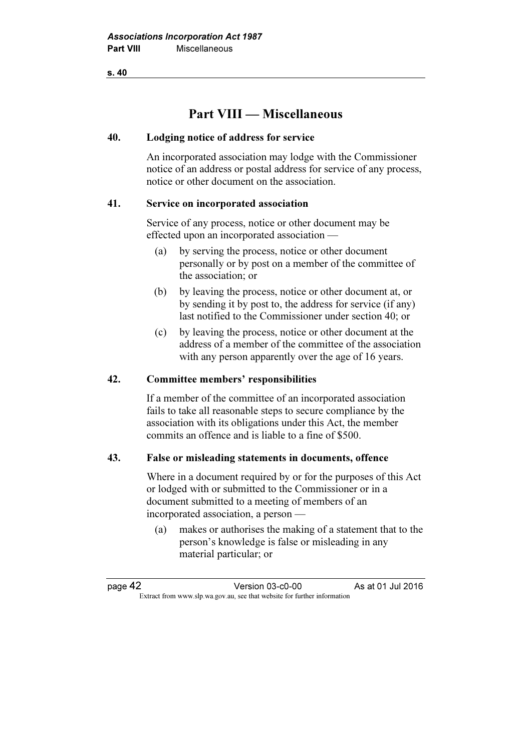# Part VIII — Miscellaneous

#### 40. Lodging notice of address for service

 An incorporated association may lodge with the Commissioner notice of an address or postal address for service of any process, notice or other document on the association.

#### 41. Service on incorporated association

 Service of any process, notice or other document may be effected upon an incorporated association —

- (a) by serving the process, notice or other document personally or by post on a member of the committee of the association; or
- (b) by leaving the process, notice or other document at, or by sending it by post to, the address for service (if any) last notified to the Commissioner under section 40; or
- (c) by leaving the process, notice or other document at the address of a member of the committee of the association with any person apparently over the age of 16 years.

#### 42. Committee members' responsibilities

 If a member of the committee of an incorporated association fails to take all reasonable steps to secure compliance by the association with its obligations under this Act, the member commits an offence and is liable to a fine of \$500.

#### 43. False or misleading statements in documents, offence

 Where in a document required by or for the purposes of this Act or lodged with or submitted to the Commissioner or in a document submitted to a meeting of members of an incorporated association, a person —

 (a) makes or authorises the making of a statement that to the person's knowledge is false or misleading in any material particular; or

| page 42 | Version 03-c0-00                                                         | As at 01 Jul 2016 |
|---------|--------------------------------------------------------------------------|-------------------|
|         | Extract from www.slp.wa.gov.au, see that website for further information |                   |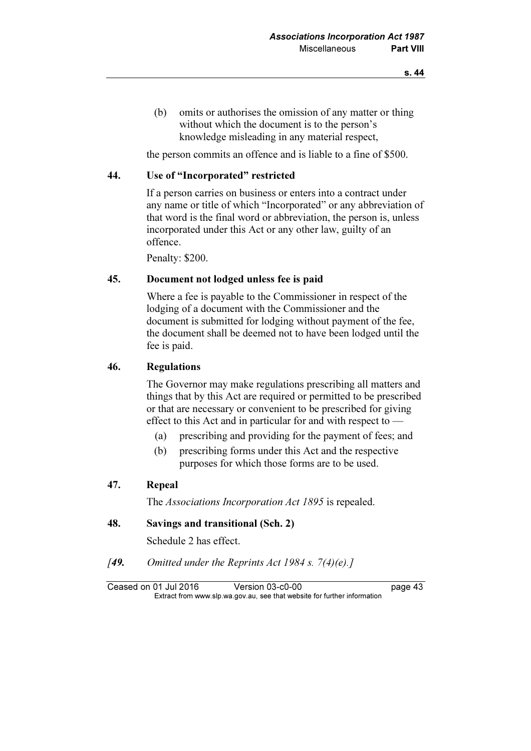(b) omits or authorises the omission of any matter or thing without which the document is to the person's knowledge misleading in any material respect,

the person commits an offence and is liable to a fine of \$500.

#### 44. Use of "Incorporated" restricted

 If a person carries on business or enters into a contract under any name or title of which "Incorporated" or any abbreviation of that word is the final word or abbreviation, the person is, unless incorporated under this Act or any other law, guilty of an offence.

Penalty: \$200.

#### 45. Document not lodged unless fee is paid

 Where a fee is payable to the Commissioner in respect of the lodging of a document with the Commissioner and the document is submitted for lodging without payment of the fee, the document shall be deemed not to have been lodged until the fee is paid.

#### 46. Regulations

 The Governor may make regulations prescribing all matters and things that by this Act are required or permitted to be prescribed or that are necessary or convenient to be prescribed for giving effect to this Act and in particular for and with respect to —

- (a) prescribing and providing for the payment of fees; and
- (b) prescribing forms under this Act and the respective purposes for which those forms are to be used.

#### 47. Repeal

The Associations Incorporation Act 1895 is repealed.

#### 48. Savings and transitional (Sch. 2)

Schedule 2 has effect.

[49. Omitted under the Reprints Act 1984 s.  $7(4)(e)$ .]

Ceased on 01 Jul 2016 Version 03-c0-00 page 43<br>Extract from www.slp.wa.gov.au, see that website for further information  $\mathbf{F}$  from which was the set that we besite for further information  $\mathbf{F}$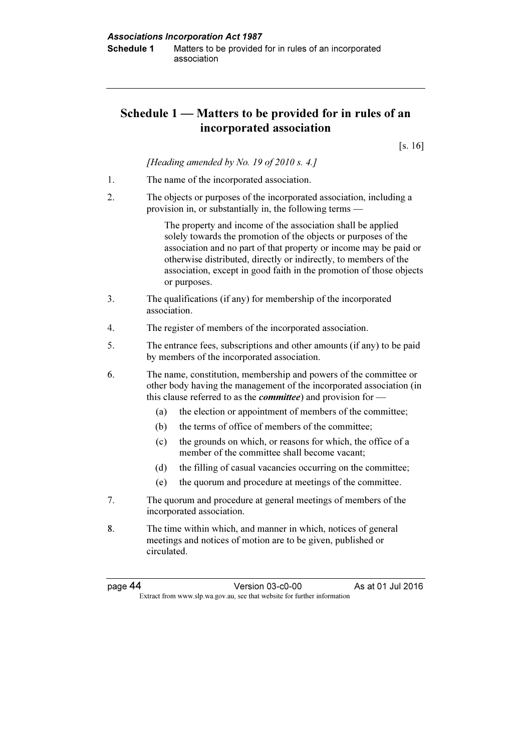# Schedule 1 — Matters to be provided for in rules of an incorporated association

[s. 16]

[Heading amended by No. 19 of 2010 s. 4.]

- 1. The name of the incorporated association.
- 2. The objects or purposes of the incorporated association, including a provision in, or substantially in, the following terms —

 The property and income of the association shall be applied solely towards the promotion of the objects or purposes of the association and no part of that property or income may be paid or otherwise distributed, directly or indirectly, to members of the association, except in good faith in the promotion of those objects or purposes.

- 3. The qualifications (if any) for membership of the incorporated association.
- 4. The register of members of the incorporated association.
- 5. The entrance fees, subscriptions and other amounts (if any) to be paid by members of the incorporated association.
- 6. The name, constitution, membership and powers of the committee or other body having the management of the incorporated association (in this clause referred to as the *committee*) and provision for —
	- (a) the election or appointment of members of the committee;
	- (b) the terms of office of members of the committee;
	- (c) the grounds on which, or reasons for which, the office of a member of the committee shall become vacant;
	- (d) the filling of casual vacancies occurring on the committee;
	- (e) the quorum and procedure at meetings of the committee.
- 7. The quorum and procedure at general meetings of members of the incorporated association.
- 8. The time within which, and manner in which, notices of general meetings and notices of motion are to be given, published or circulated.

page 44 Version 03-c0-00 As at 01 Jul 2016  $\mathbf{F}$  from which we be the website for further information for further information  $\mathbf{F}$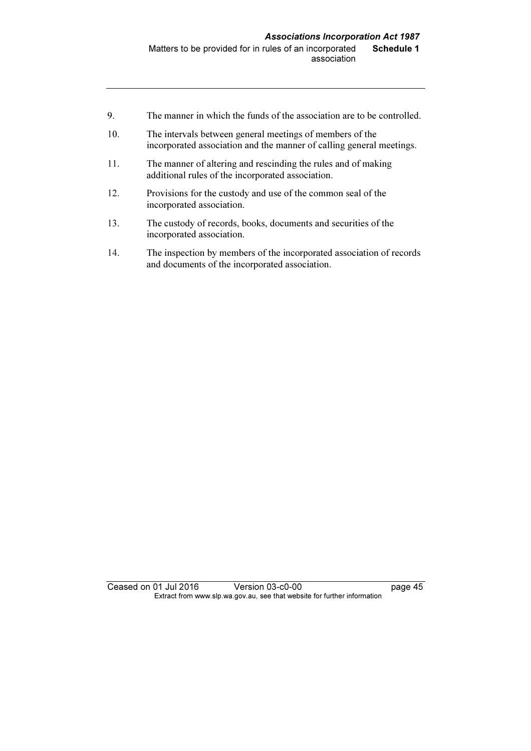- 9. The manner in which the funds of the association are to be controlled.
- 10. The intervals between general meetings of members of the incorporated association and the manner of calling general meetings.
- 11. The manner of altering and rescinding the rules and of making additional rules of the incorporated association.
- 12. Provisions for the custody and use of the common seal of the incorporated association.
- 13. The custody of records, books, documents and securities of the incorporated association.
- 14. The inspection by members of the incorporated association of records and documents of the incorporated association.

Ceased on 01 Jul 2016 Version 03-c0-00 page 45 Extract from www.slp.wa.gov.au, see that website for further information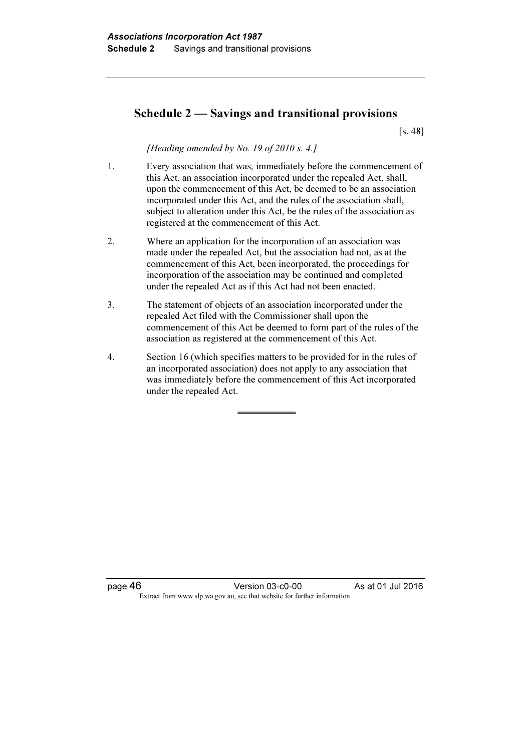### Schedule 2 — Savings and transitional provisions

[s. 48]

[Heading amended by No. 19 of 2010 s. 4.]

- 1. Every association that was, immediately before the commencement of this Act, an association incorporated under the repealed Act, shall, upon the commencement of this Act, be deemed to be an association incorporated under this Act, and the rules of the association shall, subject to alteration under this Act, be the rules of the association as registered at the commencement of this Act.
- 2. Where an application for the incorporation of an association was made under the repealed Act, but the association had not, as at the commencement of this Act, been incorporated, the proceedings for incorporation of the association may be continued and completed under the repealed Act as if this Act had not been enacted.
- 3. The statement of objects of an association incorporated under the repealed Act filed with the Commissioner shall upon the commencement of this Act be deemed to form part of the rules of the association as registered at the commencement of this Act.
- 4. Section 16 (which specifies matters to be provided for in the rules of an incorporated association) does not apply to any association that was immediately before the commencement of this Act incorporated under the repealed Act.

page 46 Version 03-c0-00 As at 01 Jul 2016 Extract from www.slp.wa.gov.au, see that website for further information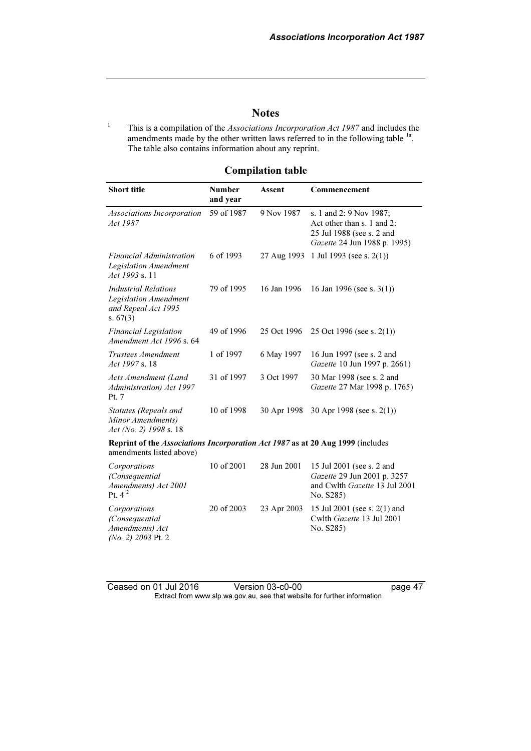### **Notes**

1 This is a compilation of the Associations Incorporation Act 1987 and includes the amendments made by the other written laws referred to in the following table <sup>1a</sup>. The table also contains information about any reprint.

#### Compilation table

| <b>Short title</b>                                                                                         | <b>Number</b><br>and year | Assent      | Commencement                                                                                                       |  |  |  |
|------------------------------------------------------------------------------------------------------------|---------------------------|-------------|--------------------------------------------------------------------------------------------------------------------|--|--|--|
| Associations Incorporation<br>Act 1987                                                                     | 59 of 1987                | 9 Nov 1987  | s. 1 and 2: 9 Nov 1987;<br>Act other than s. 1 and 2:<br>25 Jul 1988 (see s. 2 and<br>Gazette 24 Jun 1988 p. 1995) |  |  |  |
| Financial Administration<br><b>Legislation Amendment</b><br>Act 1993 s. 11                                 | 6 of 1993                 | 27 Aug 1993 | 1 Jul 1993 (see s. $2(1)$ )                                                                                        |  |  |  |
| <b>Industrial Relations</b><br>Legislation Amendment<br>and Repeal Act 1995<br>s. $67(3)$                  | 79 of 1995                | 16 Jan 1996 | 16 Jan 1996 (see s. $3(1)$ )                                                                                       |  |  |  |
| <b>Financial Legislation</b><br>Amendment Act 1996 s. 64                                                   | 49 of 1996                | 25 Oct 1996 | 25 Oct 1996 (see s. $2(1)$ )                                                                                       |  |  |  |
| Trustees Amendment<br>Act 1997 s. 18                                                                       | 1 of 1997                 | 6 May 1997  | 16 Jun 1997 (see s. 2 and<br>Gazette 10 Jun 1997 p. 2661)                                                          |  |  |  |
| Acts Amendment (Land<br>Administration) Act 1997<br>Pt. 7                                                  | 31 of 1997                | 3 Oct 1997  | 30 Mar 1998 (see s. 2 and<br>Gazette 27 Mar 1998 p. 1765)                                                          |  |  |  |
| Statutes (Repeals and<br>Minor Amendments)<br>Act (No. 2) 1998 s. 18                                       | 10 of 1998                | 30 Apr 1998 | 30 Apr 1998 (see s. $2(1)$ )                                                                                       |  |  |  |
| Reprint of the Associations Incorporation Act 1987 as at 20 Aug 1999 (includes<br>amendments listed above) |                           |             |                                                                                                                    |  |  |  |
| Corporations<br>(Consequential<br>Amendments) Act 2001<br>Pt. $4^2$                                        | 10 of 2001                | 28 Jun 2001 | 15 Jul 2001 (see s. 2 and<br>Gazette 29 Jun 2001 p. 3257<br>and Cwlth Gazette 13 Jul 2001<br>No. S285)             |  |  |  |
| Corporations<br>(Consequential<br>Amendments) Act<br>(No. 2) 2003 Pt. 2                                    | 20 of 2003                | 23 Apr 2003 | 15 Jul 2001 (see s. 2(1) and<br>Cwlth Gazette 13 Jul 2001<br>No. S285)                                             |  |  |  |

Ceased on 01 Jul 2016 Version 03-c0-00 page 47 Extract from www.slp.wa.gov.au, see that website for further information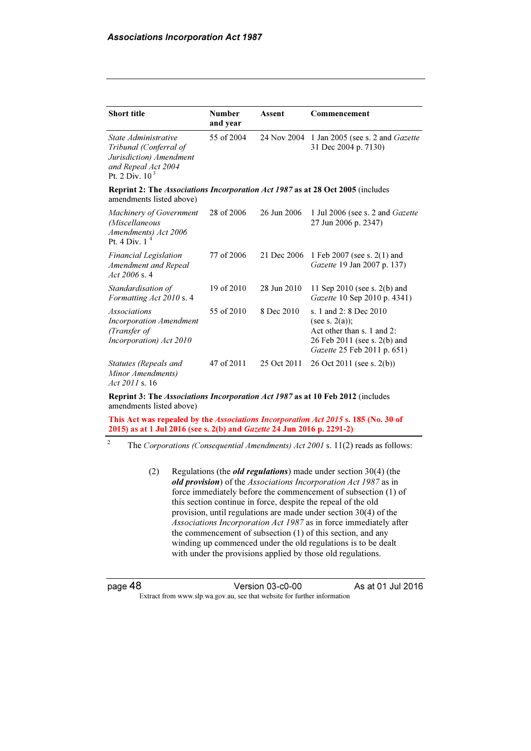| <b>Short title</b>                                                                                                    | <b>Number</b><br>and year | Assent      | Commencement                                                                                                                             |
|-----------------------------------------------------------------------------------------------------------------------|---------------------------|-------------|------------------------------------------------------------------------------------------------------------------------------------------|
| State Administrative<br>Tribunal (Conferral of<br>Jurisdiction) Amendment<br>and Repeal Act 2004<br>Pt. 2 Div. $10^3$ | 55 of 2004                | 24 Nov 2004 | 1 Jan 2005 (see s. 2 and <i>Gazette</i><br>31 Dec 2004 p. 7130)                                                                          |
| <b>Reprint 2: The Associations Incorporation Act 1987 as at 28 Oct 2005</b> (includes<br>amendments listed above)     |                           |             |                                                                                                                                          |
| Machinery of Government<br>(Miscellaneous<br>Amendments) Act 2006<br>Pt. 4 Div. 1                                     | 28 of 2006                | 26 Jun 2006 | 1 Jul 2006 (see s. 2 and Gazette<br>27 Jun 2006 p. 2347)                                                                                 |
| <b>Financial Legislation</b><br>Amendment and Repeal<br>Act $2006$ s. 4                                               | 77 of 2006                | 21 Dec 2006 | 1 Feb 2007 (see s. $2(1)$ and<br>Gazette 19 Jan 2007 p. 137)                                                                             |
| Standardisation of<br>Formatting Act 2010 s. 4                                                                        | 19 of 2010                | 28 Jun 2010 | 11 Sep 2010 (see s. $2(b)$ and<br>Gazette 10 Sep 2010 p. 4341)                                                                           |
| <i>Associations</i><br><b>Incorporation Amendment</b><br>(Transfer of<br>Incorporation) Act 2010                      | 55 of 2010                | 8 Dec 2010  | s. 1 and 2: 8 Dec 2010<br>(see s. $2(a)$ );<br>Act other than s. 1 and 2:<br>26 Feb 2011 (see s. 2(b) and<br>Gazette 25 Feb 2011 p. 651) |
| Statutes (Repeals and<br>Minor Amendments)<br>Act 2011 s. 16                                                          | 47 of 2011                | 25 Oct 2011 | 26 Oct 2011 (see s. $2(b)$ )                                                                                                             |

Reprint 3: The Associations Incorporation Act 1987 as at 10 Feb 2012 (includes amendments listed above)

This Act was repealed by the Associations Incorporation Act 2015 s. 185 (No. 30 of 2015) as at 1 Jul 2016 (see s. 2(b) and Gazette 24 Jun 2016 p. 2291-2)

2 The Corporations (Consequential Amendments) Act 2001 s. 11(2) reads as follows:

> (2) Regulations (the *old regulations*) made under section 30(4) (the old provision) of the Associations Incorporation Act 1987 as in force immediately before the commencement of subsection (1) of this section continue in force, despite the repeal of the old provision, until regulations are made under section 30(4) of the Associations Incorporation Act 1987 as in force immediately after the commencement of subsection (1) of this section, and any winding up commenced under the old regulations is to be dealt with under the provisions applied by those old regulations.

| page 48 |  |
|---------|--|
|---------|--|

page 48 Version 03-c0-00 As at 01 Jul 2016 Extract from www.slp.wa.gov.au, see that website for further information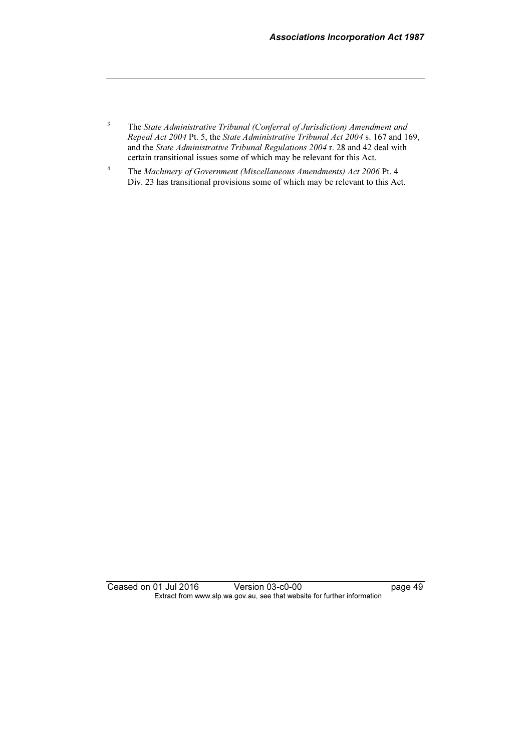- 3 The State Administrative Tribunal (Conferral of Jurisdiction) Amendment and Repeal Act 2004 Pt. 5, the State Administrative Tribunal Act 2004 s. 167 and 169, and the State Administrative Tribunal Regulations 2004 r. 28 and 42 deal with certain transitional issues some of which may be relevant for this Act.
- 4 The Machinery of Government (Miscellaneous Amendments) Act 2006 Pt. 4 Div. 23 has transitional provisions some of which may be relevant to this Act.

Ceased on 01 Jul 2016 Version 03-c0-00 page 49 Extract from www.slp.wa.gov.au, see that website for further information